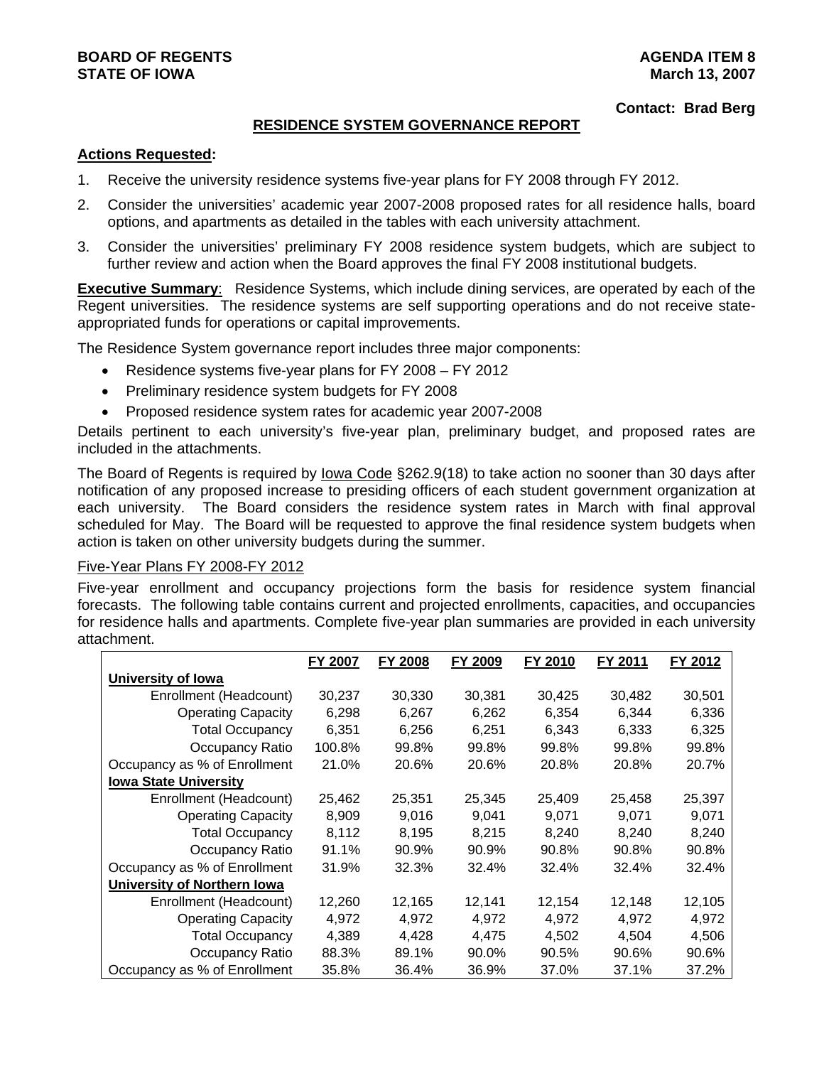## **BOARD OF REGENTS** AGENERATION OF REGENTS **STATE OF IOWA March 13, 2007**

#### **Contact: Brad Berg**

#### **RESIDENCE SYSTEM GOVERNANCE REPORT**

#### **Actions Requested:**

- 1. Receive the university residence systems five-year plans for FY 2008 through FY 2012.
- 2. Consider the universities' academic year 2007-2008 proposed rates for all residence halls, board options, and apartments as detailed in the tables with each university attachment.
- 3. Consider the universities' preliminary FY 2008 residence system budgets, which are subject to further review and action when the Board approves the final FY 2008 institutional budgets.

**Executive Summary:** Residence Systems, which include dining services, are operated by each of the Regent universities. The residence systems are self supporting operations and do not receive stateappropriated funds for operations or capital improvements.

The Residence System governance report includes three major components:

- Residence systems five-year plans for FY 2008 FY 2012
- Preliminary residence system budgets for FY 2008
- Proposed residence system rates for academic year 2007-2008

Details pertinent to each university's five-year plan, preliminary budget, and proposed rates are included in the attachments.

The Board of Regents is required by lowa Code §262.9(18) to take action no sooner than 30 days after notification of any proposed increase to presiding officers of each student government organization at each university. The Board considers the residence system rates in March with final approval scheduled for May. The Board will be requested to approve the final residence system budgets when action is taken on other university budgets during the summer.

#### Five-Year Plans FY 2008-FY 2012

Five-year enrollment and occupancy projections form the basis for residence system financial forecasts. The following table contains current and projected enrollments, capacities, and occupancies for residence halls and apartments. Complete five-year plan summaries are provided in each university attachment.

|                              | FY 2007 | <b>FY 2008</b> | FY 2009 | FY 2010 | FY 2011 | FY 2012 |
|------------------------------|---------|----------------|---------|---------|---------|---------|
| University of Iowa           |         |                |         |         |         |         |
| Enrollment (Headcount)       | 30,237  | 30,330         | 30,381  | 30,425  | 30,482  | 30,501  |
| <b>Operating Capacity</b>    | 6,298   | 6,267          | 6,262   | 6,354   | 6,344   | 6,336   |
| <b>Total Occupancy</b>       | 6,351   | 6,256          | 6.251   | 6.343   | 6.333   | 6,325   |
| Occupancy Ratio              | 100.8%  | 99.8%          | 99.8%   | 99.8%   | 99.8%   | 99.8%   |
| Occupancy as % of Enrollment | 21.0%   | 20.6%          | 20.6%   | 20.8%   | 20.8%   | 20.7%   |
| <b>Iowa State University</b> |         |                |         |         |         |         |
| Enrollment (Headcount)       | 25,462  | 25,351         | 25,345  | 25,409  | 25,458  | 25,397  |
| <b>Operating Capacity</b>    | 8,909   | 9,016          | 9.041   | 9.071   | 9.071   | 9.071   |
| <b>Total Occupancy</b>       | 8.112   | 8,195          | 8,215   | 8,240   | 8,240   | 8,240   |
| Occupancy Ratio              | 91.1%   | 90.9%          | 90.9%   | 90.8%   | 90.8%   | 90.8%   |
| Occupancy as % of Enrollment | 31.9%   | 32.3%          | 32.4%   | 32.4%   | 32.4%   | 32.4%   |
| University of Northern Iowa  |         |                |         |         |         |         |
| Enrollment (Headcount)       | 12,260  | 12,165         | 12.141  | 12,154  | 12,148  | 12,105  |
| <b>Operating Capacity</b>    | 4.972   | 4,972          | 4.972   | 4.972   | 4,972   | 4.972   |
| <b>Total Occupancy</b>       | 4.389   | 4.428          | 4.475   | 4.502   | 4.504   | 4.506   |
| Occupancy Ratio              | 88.3%   | 89.1%          | 90.0%   | 90.5%   | 90.6%   | 90.6%   |
| Occupancy as % of Enrollment | 35.8%   | 36.4%          | 36.9%   | 37.0%   | 37.1%   | 37.2%   |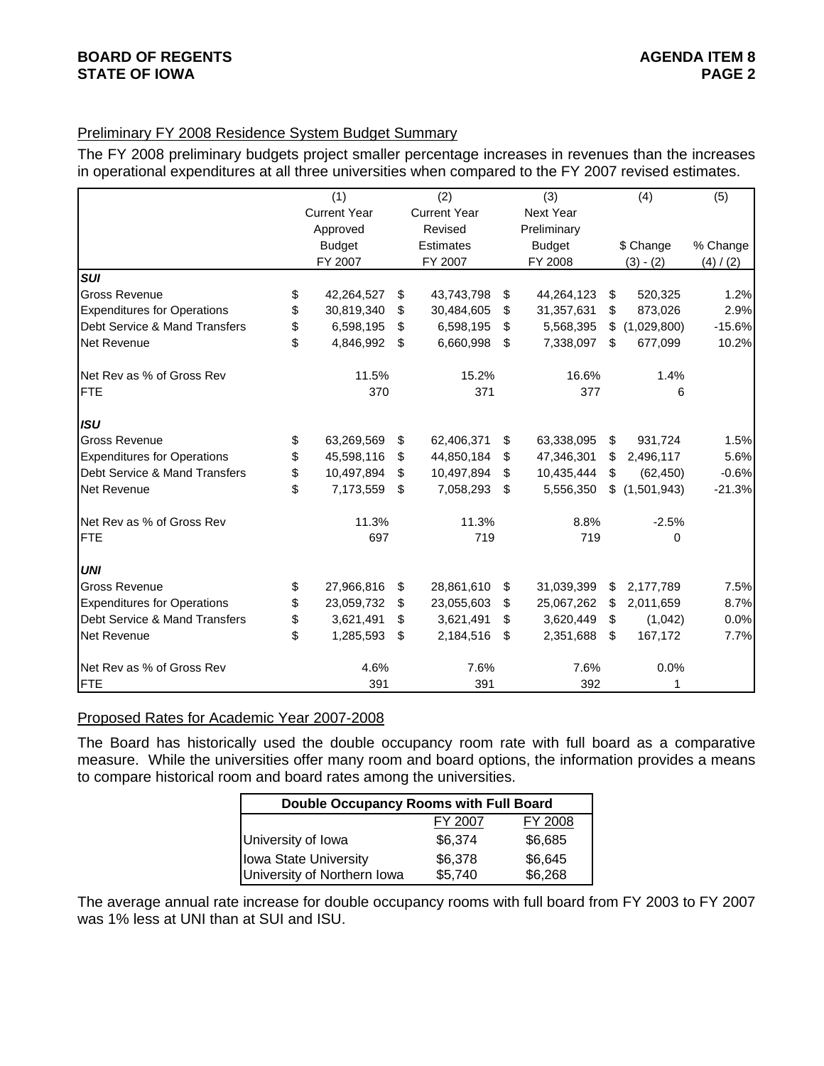## Preliminary FY 2008 Residence System Budget Summary

The FY 2008 preliminary budgets project smaller percentage increases in revenues than the increases in operational expenditures at all three universities when compared to the FY 2007 revised estimates.

|                                    | (1)                 |    |                     | (2) |                  |    | (4)         | (5)       |
|------------------------------------|---------------------|----|---------------------|-----|------------------|----|-------------|-----------|
|                                    | <b>Current Year</b> |    | <b>Current Year</b> |     | <b>Next Year</b> |    |             |           |
|                                    | Approved            |    | Revised             |     | Preliminary      |    |             |           |
|                                    | <b>Budget</b>       |    | <b>Estimates</b>    |     | <b>Budget</b>    |    | \$ Change   | % Change  |
|                                    | FY 2007             |    | FY 2007             |     | FY 2008          |    | $(3) - (2)$ | (4) / (2) |
| <b>SUI</b>                         |                     |    |                     |     |                  |    |             |           |
| <b>Gross Revenue</b>               | \$<br>42,264,527    | \$ | 43,743,798          | \$  | 44,264,123       | \$ | 520,325     | 1.2%      |
| <b>Expenditures for Operations</b> | \$<br>30,819,340    | \$ | 30,484,605          | \$  | 31,357,631       | \$ | 873,026     | 2.9%      |
| Debt Service & Mand Transfers      | \$<br>6,598,195     | \$ | 6,598,195           | \$  | 5,568,395        | \$ | (1,029,800) | $-15.6%$  |
| Net Revenue                        | \$<br>4,846,992     | \$ | 6,660,998           | \$  | 7,338,097        | \$ | 677,099     | 10.2%     |
| Net Rev as % of Gross Rev          | 11.5%               |    | 15.2%               |     | 16.6%            |    | 1.4%        |           |
| <b>FTE</b>                         | 370                 |    | 371                 |     | 377              |    | 6           |           |
| <b>ISU</b>                         |                     |    |                     |     |                  |    |             |           |
| <b>Gross Revenue</b>               | \$<br>63,269,569    | \$ | 62,406,371          | \$  | 63,338,095       | \$ | 931,724     | 1.5%      |
| <b>Expenditures for Operations</b> | \$<br>45,598,116    | \$ | 44,850,184          | \$  | 47,346,301       | \$ | 2,496,117   | 5.6%      |
| Debt Service & Mand Transfers      | \$<br>10,497,894    | \$ | 10,497,894          | \$  | 10,435,444       | \$ | (62, 450)   | $-0.6%$   |
| <b>Net Revenue</b>                 | \$<br>7,173,559     | \$ | 7,058,293           | \$  | 5,556,350        | \$ | (1,501,943) | $-21.3%$  |
| Net Rev as % of Gross Rev          | 11.3%               |    | 11.3%               |     | 8.8%             |    | $-2.5%$     |           |
| <b>FTE</b>                         | 697                 |    | 719                 |     | 719              |    | 0           |           |
| <b>UNI</b>                         |                     |    |                     |     |                  |    |             |           |
| <b>Gross Revenue</b>               | \$<br>27,966,816    | \$ | 28,861,610          | \$  | 31,039,399       | \$ | 2,177,789   | 7.5%      |
| <b>Expenditures for Operations</b> | \$<br>23,059,732    | \$ | 23,055,603          | \$  | 25,067,262       | \$ | 2,011,659   | 8.7%      |
| Debt Service & Mand Transfers      | \$<br>3,621,491     | \$ | 3,621,491           | \$  | 3,620,449        | \$ | (1,042)     | 0.0%      |
| Net Revenue                        | \$<br>1,285,593     | \$ | 2,184,516           | \$  | 2,351,688        | \$ | 167,172     | 7.7%      |
| Net Rev as % of Gross Rev          | 4.6%                |    | 7.6%                |     | 7.6%             |    | 0.0%        |           |
| <b>FTE</b>                         | 391                 |    | 391                 |     | 392              |    | 1           |           |

#### Proposed Rates for Academic Year 2007-2008

The Board has historically used the double occupancy room rate with full board as a comparative measure. While the universities offer many room and board options, the information provides a means to compare historical room and board rates among the universities.

| Double Occupancy Rooms with Full Board |         |         |  |  |  |  |  |  |  |  |
|----------------------------------------|---------|---------|--|--|--|--|--|--|--|--|
|                                        | FY 2007 | FY 2008 |  |  |  |  |  |  |  |  |
| University of Iowa                     | \$6,374 | \$6,685 |  |  |  |  |  |  |  |  |
| Iowa State University                  | \$6,378 | \$6,645 |  |  |  |  |  |  |  |  |
| University of Northern Iowa            | \$5,740 | \$6,268 |  |  |  |  |  |  |  |  |

The average annual rate increase for double occupancy rooms with full board from FY 2003 to FY 2007 was 1% less at UNI than at SUI and ISU.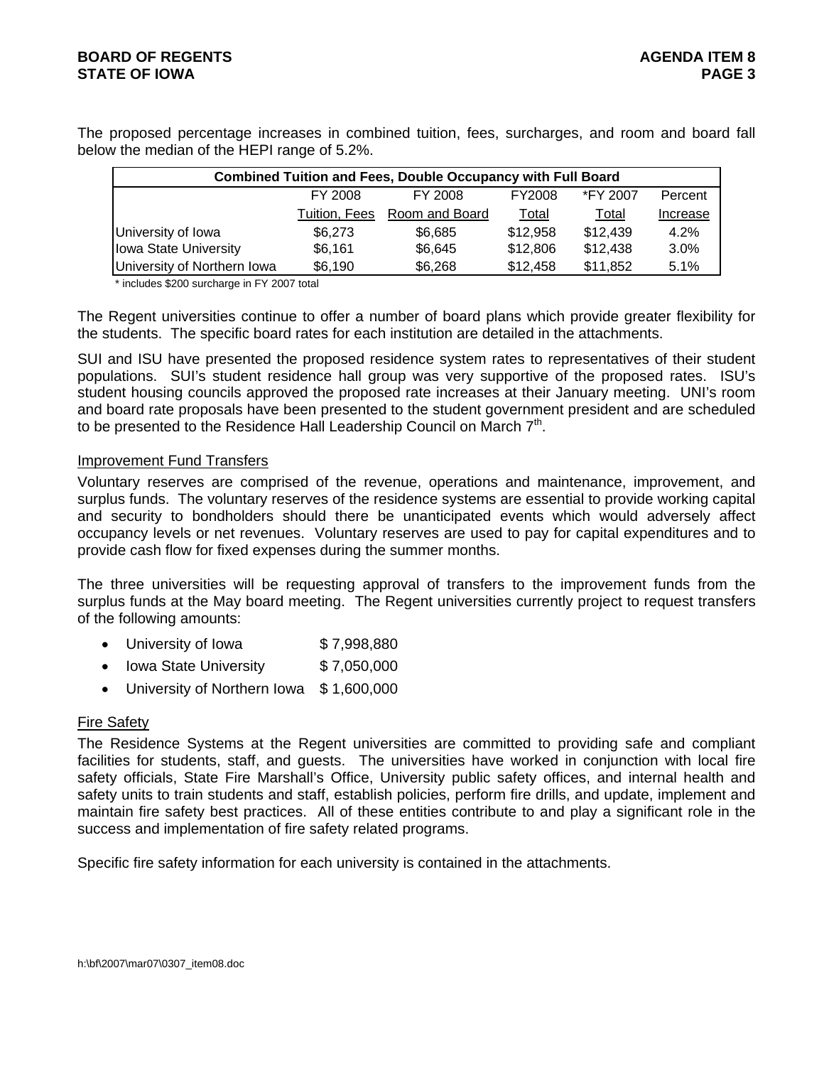The proposed percentage increases in combined tuition, fees, surcharges, and room and board fall below the median of the HEPI range of 5.2%.

| <b>Combined Tuition and Fees, Double Occupancy with Full Board</b> |               |                |          |          |          |  |  |  |  |  |
|--------------------------------------------------------------------|---------------|----------------|----------|----------|----------|--|--|--|--|--|
|                                                                    | FY 2008       | FY 2008        | FY2008   | *FY 2007 | Percent  |  |  |  |  |  |
|                                                                    | Tuition, Fees | Room and Board | Total    | Total    | Increase |  |  |  |  |  |
| University of Iowa                                                 | \$6,273       | \$6,685        | \$12,958 | \$12,439 | 4.2%     |  |  |  |  |  |
| Iowa State University                                              | \$6,161       | \$6,645        | \$12,806 | \$12,438 | 3.0%     |  |  |  |  |  |
| University of Northern Iowa                                        | \$6,190       | \$6,268        | \$12,458 | \$11,852 | 5.1%     |  |  |  |  |  |

\* includes \$200 surcharge in FY 2007 total

The Regent universities continue to offer a number of board plans which provide greater flexibility for the students. The specific board rates for each institution are detailed in the attachments.

SUI and ISU have presented the proposed residence system rates to representatives of their student populations. SUI's student residence hall group was very supportive of the proposed rates. ISU's student housing councils approved the proposed rate increases at their January meeting. UNI's room and board rate proposals have been presented to the student government president and are scheduled to be presented to the Residence Hall Leadership Council on March  $7<sup>th</sup>$ .

#### Improvement Fund Transfers

Voluntary reserves are comprised of the revenue, operations and maintenance, improvement, and surplus funds. The voluntary reserves of the residence systems are essential to provide working capital and security to bondholders should there be unanticipated events which would adversely affect occupancy levels or net revenues. Voluntary reserves are used to pay for capital expenditures and to provide cash flow for fixed expenses during the summer months.

The three universities will be requesting approval of transfers to the improvement funds from the surplus funds at the May board meeting. The Regent universities currently project to request transfers of the following amounts:

- University of Iowa \$7,998,880
- Iowa State University \$7,050,000
- University of Northern Iowa \$1,600,000

#### Fire Safety

The Residence Systems at the Regent universities are committed to providing safe and compliant facilities for students, staff, and guests. The universities have worked in conjunction with local fire safety officials, State Fire Marshall's Office, University public safety offices, and internal health and safety units to train students and staff, establish policies, perform fire drills, and update, implement and maintain fire safety best practices. All of these entities contribute to and play a significant role in the success and implementation of fire safety related programs.

Specific fire safety information for each university is contained in the attachments.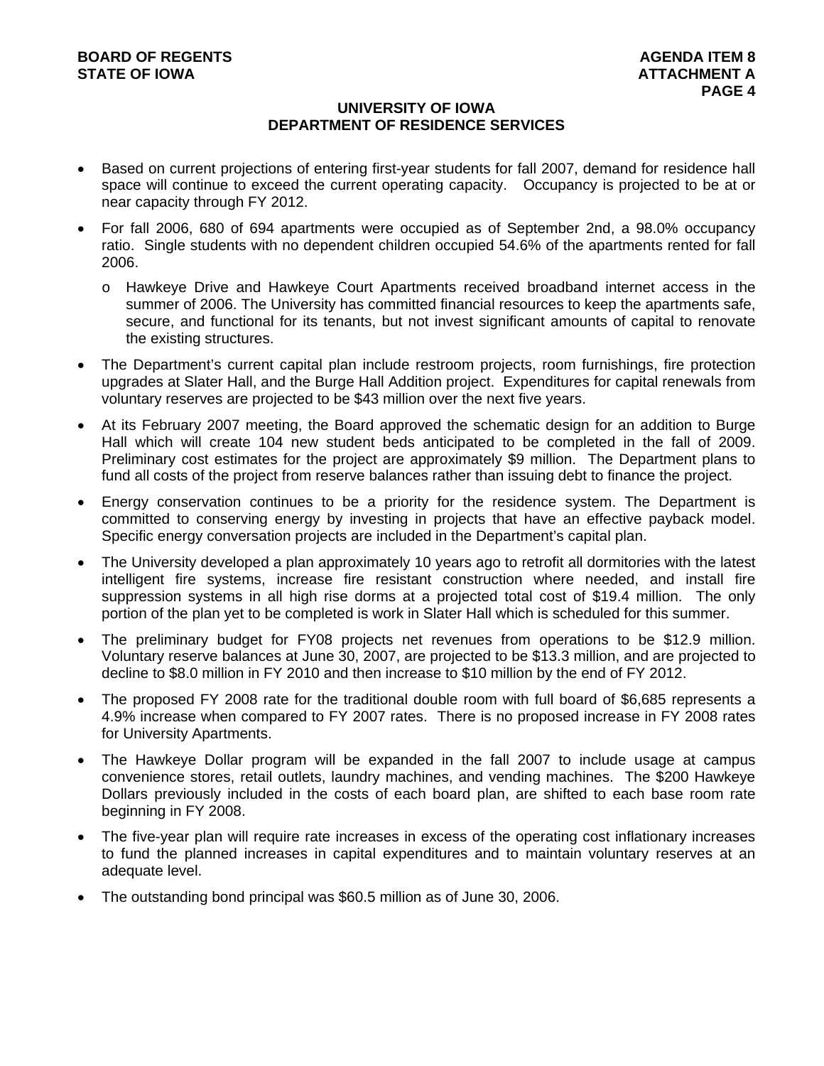## **UNIVERSITY OF IOWA DEPARTMENT OF RESIDENCE SERVICES**

- Based on current projections of entering first-year students for fall 2007, demand for residence hall space will continue to exceed the current operating capacity. Occupancy is projected to be at or near capacity through FY 2012.
- For fall 2006, 680 of 694 apartments were occupied as of September 2nd, a 98.0% occupancy ratio. Single students with no dependent children occupied 54.6% of the apartments rented for fall 2006.
	- o Hawkeye Drive and Hawkeye Court Apartments received broadband internet access in the summer of 2006. The University has committed financial resources to keep the apartments safe, secure, and functional for its tenants, but not invest significant amounts of capital to renovate the existing structures.
- The Department's current capital plan include restroom projects, room furnishings, fire protection upgrades at Slater Hall, and the Burge Hall Addition project. Expenditures for capital renewals from voluntary reserves are projected to be \$43 million over the next five years.
- At its February 2007 meeting, the Board approved the schematic design for an addition to Burge Hall which will create 104 new student beds anticipated to be completed in the fall of 2009. Preliminary cost estimates for the project are approximately \$9 million. The Department plans to fund all costs of the project from reserve balances rather than issuing debt to finance the project.
- Energy conservation continues to be a priority for the residence system. The Department is committed to conserving energy by investing in projects that have an effective payback model. Specific energy conversation projects are included in the Department's capital plan.
- The University developed a plan approximately 10 years ago to retrofit all dormitories with the latest intelligent fire systems, increase fire resistant construction where needed, and install fire suppression systems in all high rise dorms at a projected total cost of \$19.4 million. The only portion of the plan yet to be completed is work in Slater Hall which is scheduled for this summer.
- The preliminary budget for FY08 projects net revenues from operations to be \$12.9 million. Voluntary reserve balances at June 30, 2007, are projected to be \$13.3 million, and are projected to decline to \$8.0 million in FY 2010 and then increase to \$10 million by the end of FY 2012.
- The proposed FY 2008 rate for the traditional double room with full board of \$6,685 represents a 4.9% increase when compared to FY 2007 rates. There is no proposed increase in FY 2008 rates for University Apartments.
- The Hawkeye Dollar program will be expanded in the fall 2007 to include usage at campus convenience stores, retail outlets, laundry machines, and vending machines. The \$200 Hawkeye Dollars previously included in the costs of each board plan, are shifted to each base room rate beginning in FY 2008.
- The five-year plan will require rate increases in excess of the operating cost inflationary increases to fund the planned increases in capital expenditures and to maintain voluntary reserves at an adequate level.
- The outstanding bond principal was \$60.5 million as of June 30, 2006.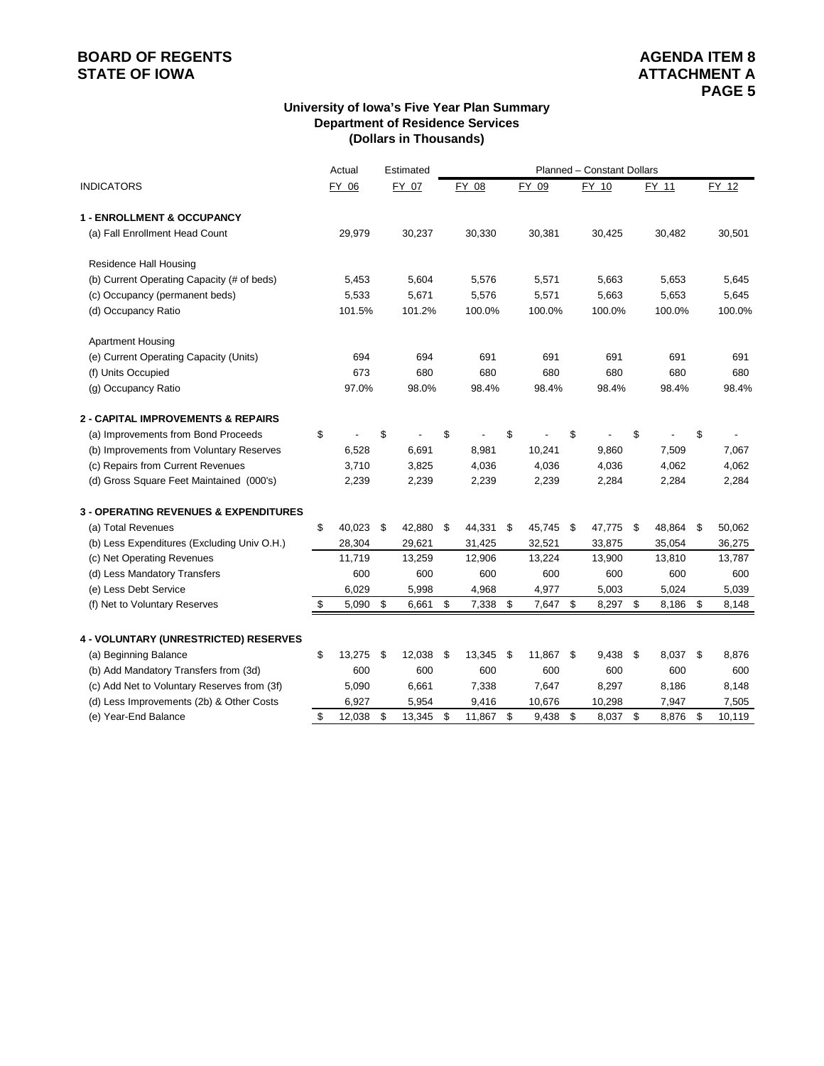# **BOARD OF REGENTS**<br> **BOARD OF REGENTS**<br> **STATE OF IOWA**<br> **ATTACHMENT A**

#### **University of Iowa's Five Year Plan Summary Department of Residence Services (Dollars in Thousands)**

|                                                  | Actual       |     | Estimated |                |      |           | Planned - Constant Dollars |            |          |    |        |
|--------------------------------------------------|--------------|-----|-----------|----------------|------|-----------|----------------------------|------------|----------|----|--------|
| <b>INDICATORS</b>                                | FY 06        |     | FY 07     | FY 08          |      | FY 09     |                            | FY 10      | FY 11    |    | FY 12  |
| <b>1 - ENROLLMENT &amp; OCCUPANCY</b>            |              |     |           |                |      |           |                            |            |          |    |        |
| (a) Fall Enrollment Head Count                   | 29,979       |     | 30,237    | 30,330         |      | 30,381    |                            | 30,425     | 30,482   |    | 30,501 |
| Residence Hall Housing                           |              |     |           |                |      |           |                            |            |          |    |        |
| (b) Current Operating Capacity (# of beds)       | 5,453        |     | 5,604     | 5,576          |      | 5,571     |                            | 5,663      | 5,653    |    | 5,645  |
| (c) Occupancy (permanent beds)                   | 5,533        |     | 5,671     | 5,576          |      | 5,571     |                            | 5,663      | 5,653    |    | 5,645  |
| (d) Occupancy Ratio                              | 101.5%       |     | 101.2%    | 100.0%         |      | 100.0%    |                            | 100.0%     | 100.0%   |    | 100.0% |
| <b>Apartment Housing</b>                         |              |     |           |                |      |           |                            |            |          |    |        |
| (e) Current Operating Capacity (Units)           | 694          |     | 694       | 691            |      | 691       |                            | 691        | 691      |    | 691    |
| (f) Units Occupied                               | 673          |     | 680       | 680            |      | 680       |                            | 680        | 680      |    | 680    |
| (g) Occupancy Ratio                              | 97.0%        |     | 98.0%     | 98.4%          |      | 98.4%     |                            | 98.4%      | 98.4%    |    | 98.4%  |
| <b>2 - CAPITAL IMPROVEMENTS &amp; REPAIRS</b>    |              |     |           |                |      |           |                            |            |          |    |        |
| (a) Improvements from Bond Proceeds              | \$           | \$  |           | \$             | \$   |           | \$                         |            | \$       | \$ |        |
| (b) Improvements from Voluntary Reserves         | 6,528        |     | 6,691     | 8,981          |      | 10,241    |                            | 9,860      | 7,509    |    | 7,067  |
| (c) Repairs from Current Revenues                | 3,710        |     | 3,825     | 4,036          |      | 4,036     |                            | 4,036      | 4,062    |    | 4,062  |
| (d) Gross Square Feet Maintained (000's)         | 2,239        |     | 2,239     | 2,239          |      | 2,239     |                            | 2,284      | 2,284    |    | 2,284  |
| <b>3 - OPERATING REVENUES &amp; EXPENDITURES</b> |              |     |           |                |      |           |                            |            |          |    |        |
| (a) Total Revenues                               | \$<br>40,023 | -\$ | 42,880    | \$<br>44,331   | \$   | 45,745    | \$                         | 47,775 \$  | 48,864   | \$ | 50,062 |
| (b) Less Expenditures (Excluding Univ O.H.)      | 28,304       |     | 29,621    | 31,425         |      | 32,521    |                            | 33,875     | 35,054   |    | 36,275 |
| (c) Net Operating Revenues                       | 11,719       |     | 13,259    | 12,906         |      | 13,224    |                            | 13,900     | 13,810   |    | 13,787 |
| (d) Less Mandatory Transfers                     | 600          |     | 600       | 600            |      | 600       |                            | 600        | 600      |    | 600    |
| (e) Less Debt Service                            | 6,029        |     | 5,998     | 4,968          |      | 4,977     |                            | 5,003      | 5,024    |    | 5,039  |
| (f) Net to Voluntary Reserves                    | $5,090$ \$   |     | 6,661     | \$<br>7,338 \$ |      | 7,647     | \$                         | 8,297 \$   | 8,186    | \$ | 8,148  |
| 4 - VOLUNTARY (UNRESTRICTED) RESERVES            |              |     |           |                |      |           |                            |            |          |    |        |
| (a) Beginning Balance                            | \$<br>13,275 | -\$ | 12,038    | \$<br>13,345   | - \$ | 11,867 \$ |                            | $9,438$ \$ | 8,037 \$ |    | 8,876  |
| (b) Add Mandatory Transfers from (3d)            | 600          |     | 600       | 600            |      | 600       |                            | 600        | 600      |    | 600    |
| (c) Add Net to Voluntary Reserves from (3f)      | 5,090        |     | 6,661     | 7,338          |      | 7,647     |                            | 8,297      | 8,186    |    | 8,148  |
| (d) Less Improvements (2b) & Other Costs         | 6,927        |     | 5,954     | 9,416          |      | 10,676    |                            | 10,298     | 7,947    |    | 7,505  |
| (e) Year-End Balance                             | \$<br>12,038 | \$  | 13,345    | \$<br>11,867   | \$   | 9,438     | \$                         | 8,037 \$   | 8,876    | \$ | 10,119 |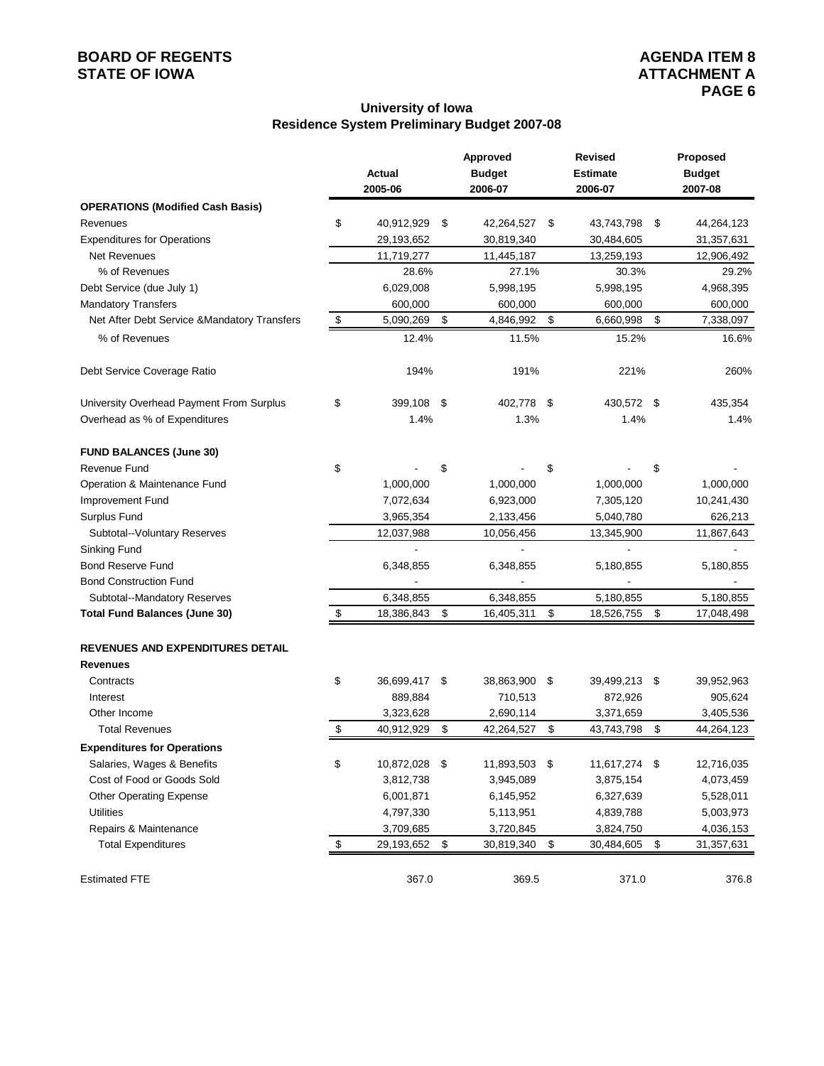# **BOARD OF REGENTS**<br> **BOARD OF REGENTS**<br> **STATE OF IOWA**<br> **ATTACHMENT A**

#### **University of Iowa Residence System Preliminary Budget 2007-08**

|                                              |                     |     | Approved      |      | Revised         | Proposed         |
|----------------------------------------------|---------------------|-----|---------------|------|-----------------|------------------|
|                                              | Actual              |     | <b>Budget</b> |      | <b>Estimate</b> | <b>Budget</b>    |
|                                              | 2005-06             |     | 2006-07       |      | 2006-07         | 2007-08          |
| <b>OPERATIONS (Modified Cash Basis)</b>      |                     |     |               |      |                 |                  |
| Revenues                                     | \$<br>40,912,929    | \$  | 42,264,527    | \$   | 43,743,798      | \$<br>44,264,123 |
| <b>Expenditures for Operations</b>           | 29,193,652          |     | 30,819,340    |      | 30,484,605      | 31,357,631       |
| <b>Net Revenues</b>                          | 11,719,277          |     | 11,445,187    |      | 13,259,193      | 12,906,492       |
| % of Revenues                                | 28.6%               |     | 27.1%         |      | 30.3%           | 29.2%            |
| Debt Service (due July 1)                    | 6,029,008           |     | 5,998,195     |      | 5,998,195       | 4,968,395        |
| <b>Mandatory Transfers</b>                   | 600,000             |     | 600,000       |      | 600,000         | 600,000          |
| Net After Debt Service & Mandatory Transfers | \$<br>5,090,269     | \$  | 4,846,992     | \$   | 6,660,998       | \$<br>7,338,097  |
| % of Revenues                                | 12.4%               |     | 11.5%         |      | 15.2%           | 16.6%            |
| Debt Service Coverage Ratio                  | 194%                |     | 191%          |      | 221%            | 260%             |
| University Overhead Payment From Surplus     | \$<br>399,108       | -\$ | 402,778       | - \$ | 430,572 \$      | 435,354          |
| Overhead as % of Expenditures                | 1.4%                |     | 1.3%          |      | 1.4%            | 1.4%             |
| <b>FUND BALANCES (June 30)</b>               |                     |     |               |      |                 |                  |
| <b>Revenue Fund</b>                          | \$                  | \$  |               | \$   |                 | \$               |
| Operation & Maintenance Fund                 | 1,000,000           |     | 1,000,000     |      | 1,000,000       | 1,000,000        |
| Improvement Fund                             | 7,072,634           |     | 6,923,000     |      | 7,305,120       | 10,241,430       |
| Surplus Fund                                 | 3,965,354           |     | 2,133,456     |      | 5,040,780       | 626,213          |
| Subtotal--Voluntary Reserves                 | 12,037,988          |     | 10,056,456    |      | 13,345,900      | 11,867,643       |
| Sinking Fund                                 |                     |     |               |      |                 |                  |
| <b>Bond Reserve Fund</b>                     | 6,348,855           |     | 6,348,855     |      | 5,180,855       | 5,180,855        |
| <b>Bond Construction Fund</b>                |                     |     |               |      |                 |                  |
| Subtotal--Mandatory Reserves                 | 6,348,855           |     | 6,348,855     |      | 5,180,855       | 5,180,855        |
| <b>Total Fund Balances (June 30)</b>         | \$<br>18,386,843    | \$  | 16,405,311    | \$   | 18,526,755      | \$<br>17,048,498 |
| <b>REVENUES AND EXPENDITURES DETAIL</b>      |                     |     |               |      |                 |                  |
| <b>Revenues</b>                              |                     |     |               |      |                 |                  |
| Contracts                                    | \$<br>36,699,417 \$ |     | 38,863,900 \$ |      | 39,499,213 \$   | 39,952,963       |
| Interest                                     | 889,884             |     | 710,513       |      | 872,926         | 905,624          |
| Other Income                                 | 3,323,628           |     | 2,690,114     |      | 3,371,659       | 3,405,536        |
| <b>Total Revenues</b>                        | \$<br>40,912,929    | \$  | 42,264,527    | \$   | 43,743,798      | \$<br>44,264,123 |
| <b>Expenditures for Operations</b>           |                     |     |               |      |                 |                  |
| Salaries, Wages & Benefits                   | \$<br>10,872,028    | -\$ | 11,893,503 \$ |      | 11,617,274 \$   | 12,716,035       |
| Cost of Food or Goods Sold                   | 3,812,738           |     | 3,945,089     |      | 3,875,154       | 4,073,459        |
| <b>Other Operating Expense</b>               | 6,001,871           |     | 6,145,952     |      | 6,327,639       | 5,528,011        |
| <b>Utilities</b>                             | 4,797,330           |     | 5,113,951     |      | 4,839,788       | 5,003,973        |
| Repairs & Maintenance                        | 3,709,685           |     | 3,720,845     |      | 3,824,750       | 4,036,153        |
| <b>Total Expenditures</b>                    | \$<br>29,193,652    | \$  | 30,819,340    | \$   | 30,484,605      | \$<br>31,357,631 |
| <b>Estimated FTE</b>                         | 367.0               |     | 369.5         |      | 371.0           | 376.8            |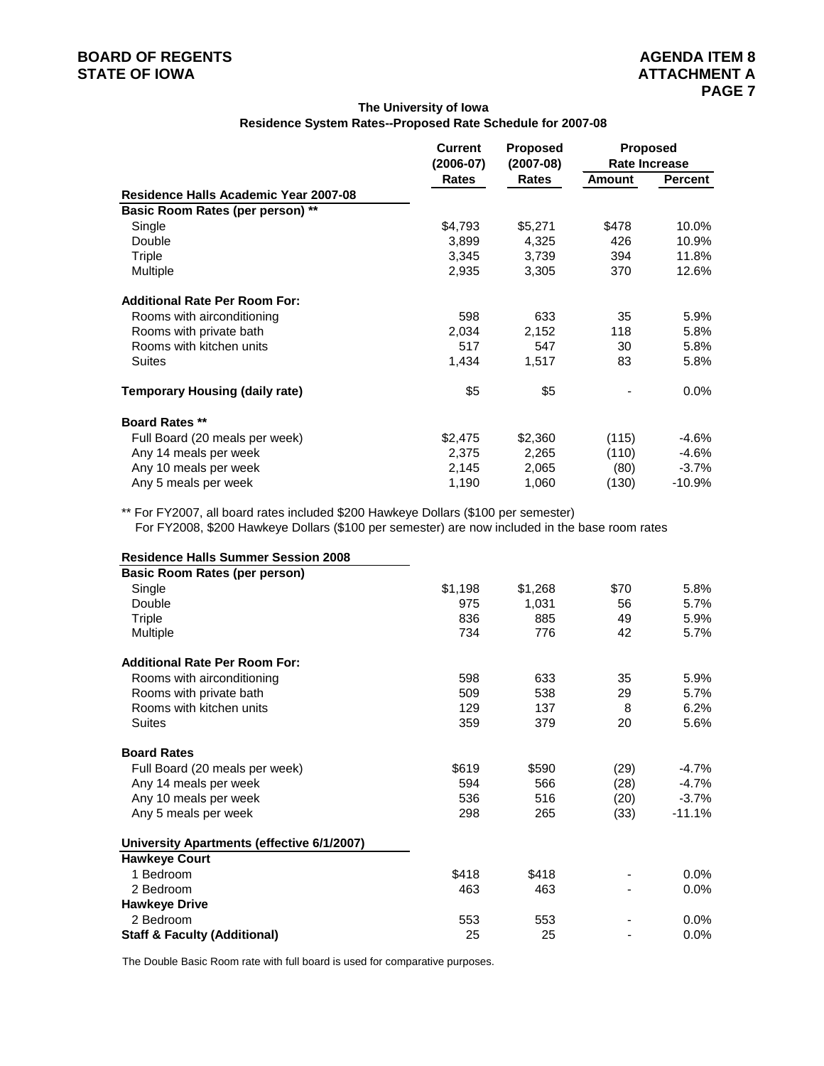#### **The University of Iowa Residence System Rates--Proposed Rate Schedule for 2007-08**

|                                       | <b>Current</b> | <b>Proposed</b> |        | <b>Proposed</b> |
|---------------------------------------|----------------|-----------------|--------|-----------------|
|                                       | (2006-07)      | $(2007-08)$     |        | Rate Increase   |
|                                       | <b>Rates</b>   | Rates           | Amount | Percent         |
| Residence Halls Academic Year 2007-08 |                |                 |        |                 |
| Basic Room Rates (per person) **      |                |                 |        |                 |
| Single                                | \$4,793        | \$5,271         | \$478  | 10.0%           |
| Double                                | 3,899          | 4,325           | 426    | 10.9%           |
| Triple                                | 3,345          | 3,739           | 394    | 11.8%           |
| Multiple                              | 2,935          | 3,305           | 370    | 12.6%           |
| <b>Additional Rate Per Room For:</b>  |                |                 |        |                 |
| Rooms with airconditioning            | 598            | 633             | 35     | 5.9%            |
| Rooms with private bath               | 2,034          | 2,152           | 118    | 5.8%            |
| Rooms with kitchen units              | 517            | 547             | 30     | 5.8%            |
| <b>Suites</b>                         | 1,434          | 1,517           | 83     | 5.8%            |
| <b>Temporary Housing (daily rate)</b> | \$5            | \$5             |        | $0.0\%$         |
| <b>Board Rates **</b>                 |                |                 |        |                 |
| Full Board (20 meals per week)        | \$2,475        | \$2,360         | (115)  | $-4.6%$         |
| Any 14 meals per week                 | 2,375          | 2,265           | (110)  | $-4.6%$         |
| Any 10 meals per week                 | 2,145          | 2,065           | (80)   | $-3.7\%$        |
| Any 5 meals per week                  | 1,190          | 1,060           | (130)  | $-10.9%$        |

\*\* For FY2007, all board rates included \$200 Hawkeye Dollars (\$100 per semester) For FY2008, \$200 Hawkeye Dollars (\$100 per semester) are now included in the base room rates

| <b>Residence Halls Summer Session 2008</b> |         |         |      |          |
|--------------------------------------------|---------|---------|------|----------|
| <b>Basic Room Rates (per person)</b>       |         |         |      |          |
| Single                                     | \$1,198 | \$1,268 | \$70 | 5.8%     |
| Double                                     | 975     | 1,031   | 56   | 5.7%     |
| Triple                                     | 836     | 885     | 49   | 5.9%     |
| Multiple                                   | 734     | 776     | 42   | 5.7%     |
| <b>Additional Rate Per Room For:</b>       |         |         |      |          |
| Rooms with airconditioning                 | 598     | 633     | 35   | 5.9%     |
| Rooms with private bath                    | 509     | 538     | 29   | 5.7%     |
| Rooms with kitchen units                   | 129     | 137     | 8    | 6.2%     |
| Suites                                     | 359     | 379     | 20   | 5.6%     |
| <b>Board Rates</b>                         |         |         |      |          |
| Full Board (20 meals per week)             | \$619   | \$590   | (29) | $-4.7\%$ |
| Any 14 meals per week                      | 594     | 566     | (28) | $-4.7\%$ |
| Any 10 meals per week                      | 536     | 516     | (20) | $-3.7\%$ |
| Any 5 meals per week                       | 298     | 265     | (33) | $-11.1%$ |
| University Apartments (effective 6/1/2007) |         |         |      |          |
| <b>Hawkeye Court</b>                       |         |         |      |          |
| 1 Bedroom                                  | \$418   | \$418   |      | $0.0\%$  |
| 2 Bedroom                                  | 463     | 463     |      | $0.0\%$  |
| <b>Hawkeye Drive</b>                       |         |         |      |          |
| 2 Bedroom                                  | 553     | 553     |      | $0.0\%$  |
| <b>Staff &amp; Faculty (Additional)</b>    | 25      | 25      |      | 0.0%     |

The Double Basic Room rate with full board is used for comparative purposes.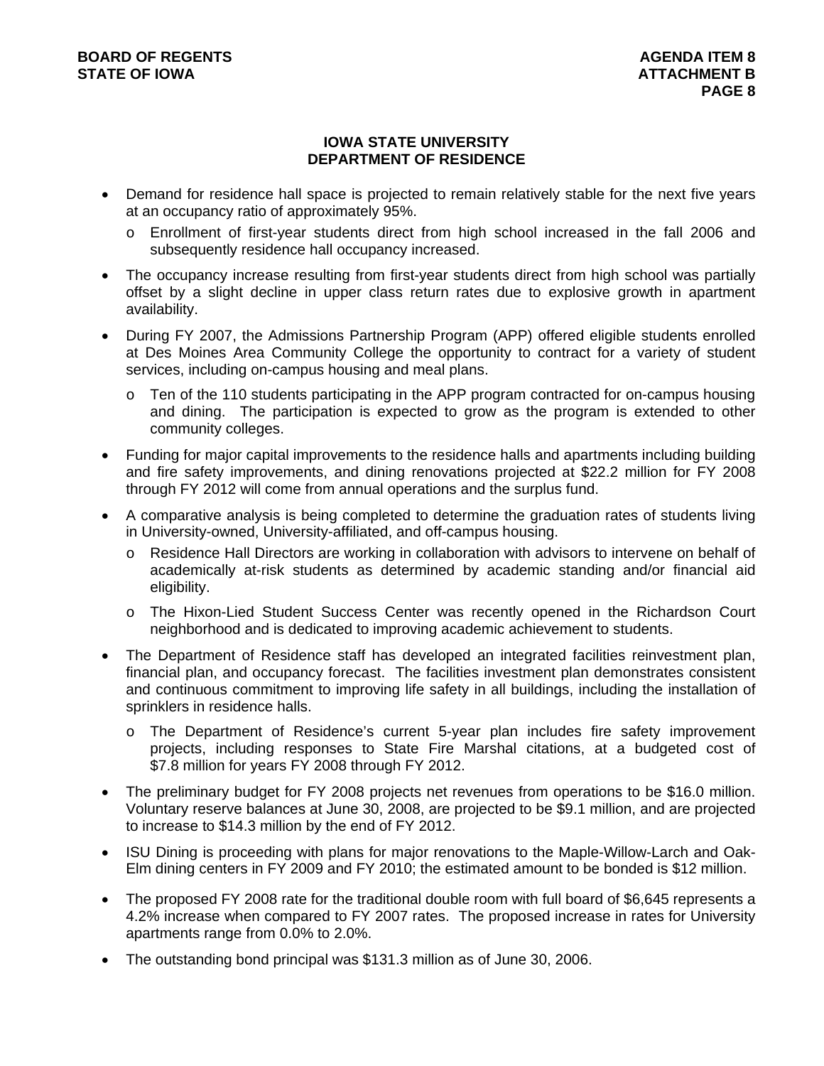#### **IOWA STATE UNIVERSITY DEPARTMENT OF RESIDENCE**

- Demand for residence hall space is projected to remain relatively stable for the next five years at an occupancy ratio of approximately 95%.
	- o Enrollment of first-year students direct from high school increased in the fall 2006 and subsequently residence hall occupancy increased.
- The occupancy increase resulting from first-year students direct from high school was partially offset by a slight decline in upper class return rates due to explosive growth in apartment availability.
- During FY 2007, the Admissions Partnership Program (APP) offered eligible students enrolled at Des Moines Area Community College the opportunity to contract for a variety of student services, including on-campus housing and meal plans.
	- o Ten of the 110 students participating in the APP program contracted for on-campus housing and dining. The participation is expected to grow as the program is extended to other community colleges.
- Funding for major capital improvements to the residence halls and apartments including building and fire safety improvements, and dining renovations projected at \$22.2 million for FY 2008 through FY 2012 will come from annual operations and the surplus fund.
- A comparative analysis is being completed to determine the graduation rates of students living in University-owned, University-affiliated, and off-campus housing.
	- o Residence Hall Directors are working in collaboration with advisors to intervene on behalf of academically at-risk students as determined by academic standing and/or financial aid eligibility.
	- o The Hixon-Lied Student Success Center was recently opened in the Richardson Court neighborhood and is dedicated to improving academic achievement to students.
- The Department of Residence staff has developed an integrated facilities reinvestment plan, financial plan, and occupancy forecast. The facilities investment plan demonstrates consistent and continuous commitment to improving life safety in all buildings, including the installation of sprinklers in residence halls.
	- o The Department of Residence's current 5-year plan includes fire safety improvement projects, including responses to State Fire Marshal citations, at a budgeted cost of \$7.8 million for years FY 2008 through FY 2012.
- The preliminary budget for FY 2008 projects net revenues from operations to be \$16.0 million. Voluntary reserve balances at June 30, 2008, are projected to be \$9.1 million, and are projected to increase to \$14.3 million by the end of FY 2012.
- ISU Dining is proceeding with plans for major renovations to the Maple-Willow-Larch and Oak-Elm dining centers in FY 2009 and FY 2010; the estimated amount to be bonded is \$12 million.
- The proposed FY 2008 rate for the traditional double room with full board of \$6,645 represents a 4.2% increase when compared to FY 2007 rates. The proposed increase in rates for University apartments range from 0.0% to 2.0%.
- The outstanding bond principal was \$131.3 million as of June 30, 2006.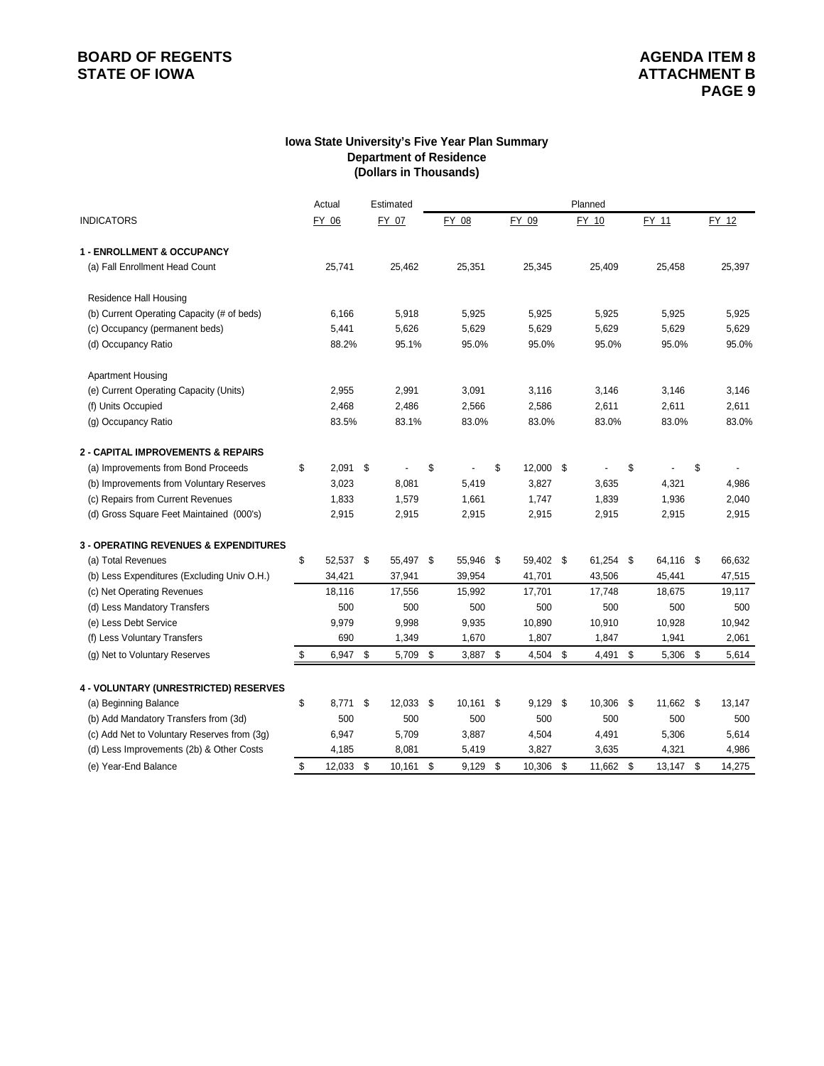# **BOARD OF REGENTS**<br> **BOARD OF REGENTS**<br> **STATE OF IOWA**<br> **BOARD OF REGENTS**

#### **Iowa State University's Five Year Plan Summary Department of Residence (Dollars in Thousands)**

|                                                  | Actual           | Estimated    |     |           |                  | Planned      |                 |     |        |
|--------------------------------------------------|------------------|--------------|-----|-----------|------------------|--------------|-----------------|-----|--------|
| <b>INDICATORS</b>                                | FY 06            | FY 07        |     | FY 08     | FY 09            | FY 10        | FY 11           |     | FY 12  |
| <b>1 - ENROLLMENT &amp; OCCUPANCY</b>            |                  |              |     |           |                  |              |                 |     |        |
| (a) Fall Enrollment Head Count                   | 25,741           | 25,462       |     | 25,351    | 25,345           | 25,409       | 25,458          |     | 25,397 |
| <b>Residence Hall Housing</b>                    |                  |              |     |           |                  |              |                 |     |        |
| (b) Current Operating Capacity (# of beds)       | 6,166            | 5,918        |     | 5,925     | 5,925            | 5,925        | 5,925           |     | 5,925  |
| (c) Occupancy (permanent beds)                   | 5,441            | 5,626        |     | 5,629     | 5,629            | 5,629        | 5,629           |     | 5,629  |
| (d) Occupancy Ratio                              | 88.2%            | 95.1%        |     | 95.0%     | 95.0%            | 95.0%        | 95.0%           |     | 95.0%  |
| <b>Apartment Housing</b>                         |                  |              |     |           |                  |              |                 |     |        |
| (e) Current Operating Capacity (Units)           | 2,955            | 2,991        |     | 3,091     | 3,116            | 3,146        | 3,146           |     | 3,146  |
| (f) Units Occupied                               | 2,468            | 2,486        |     | 2,566     | 2,586            | 2,611        | 2,611           |     | 2,611  |
| (g) Occupancy Ratio                              | 83.5%            | 83.1%        |     | 83.0%     | 83.0%            | 83.0%        | 83.0%           |     | 83.0%  |
| <b>2 - CAPITAL IMPROVEMENTS &amp; REPAIRS</b>    |                  |              |     |           |                  |              |                 |     |        |
| (a) Improvements from Bond Proceeds              | \$<br>$2,091$ \$ |              | \$  |           | \$<br>12,000 \$  |              | \$              | \$  |        |
| (b) Improvements from Voluntary Reserves         | 3,023            | 8,081        |     | 5,419     | 3,827            | 3,635        | 4,321           |     | 4,986  |
| (c) Repairs from Current Revenues                | 1,833            | 1,579        |     | 1,661     | 1,747            | 1,839        | 1,936           |     | 2,040  |
| (d) Gross Square Feet Maintained (000's)         | 2,915            | 2,915        |     | 2,915     | 2,915            | 2,915        | 2,915           |     | 2,915  |
| <b>3 - OPERATING REVENUES &amp; EXPENDITURES</b> |                  |              |     |           |                  |              |                 |     |        |
| (a) Total Revenues                               | \$<br>52,537 \$  | 55,497 \$    |     | 55,946 \$ | 59,402 \$        | 61,254 \$    | 64,116 \$       |     | 66,632 |
| (b) Less Expenditures (Excluding Univ O.H.)      | 34,421           | 37,941       |     | 39,954    | 41,701           | 43,506       | 45,441          |     | 47,515 |
| (c) Net Operating Revenues                       | 18,116           | 17,556       |     | 15,992    | 17,701           | 17,748       | 18,675          |     | 19,117 |
| (d) Less Mandatory Transfers                     | 500              | 500          |     | 500       | 500              | 500          | 500             |     | 500    |
| (e) Less Debt Service                            | 9,979            | 9,998        |     | 9,935     | 10,890           | 10,910       | 10,928          |     | 10,942 |
| (f) Less Voluntary Transfers                     | 690              | 1,349        |     | 1,670     | 1,807            | 1,847        | 1,941           |     | 2,061  |
| (g) Net to Voluntary Reserves                    | \$<br>6,947 \$   | 5,709        | \$  | 3,887     | \$<br>$4,504$ \$ | 4,491        | \$<br>5,306     | -\$ | 5,614  |
| 4 - VOLUNTARY (UNRESTRICTED) RESERVES            |                  |              |     |           |                  |              |                 |     |        |
| (a) Beginning Balance                            | \$<br>8.771      | \$<br>12,033 | -\$ | 10,161    | \$<br>$9,129$ \$ | 10,306       | \$<br>11,662 \$ |     | 13,147 |
| (b) Add Mandatory Transfers from (3d)            | 500              | 500          |     | 500       | 500              | 500          | 500             |     | 500    |
| (c) Add Net to Voluntary Reserves from (3g)      | 6,947            | 5,709        |     | 3,887     | 4,504            | 4,491        | 5,306           |     | 5,614  |
| (d) Less Improvements (2b) & Other Costs         | 4,185            | 8,081        |     | 5,419     | 3,827            | 3,635        | 4,321           |     | 4,986  |
| (e) Year-End Balance                             | \$<br>12,033     | \$<br>10,161 | \$  | 9,129     | \$<br>10,306     | \$<br>11,662 | \$<br>13,147    | -\$ | 14,275 |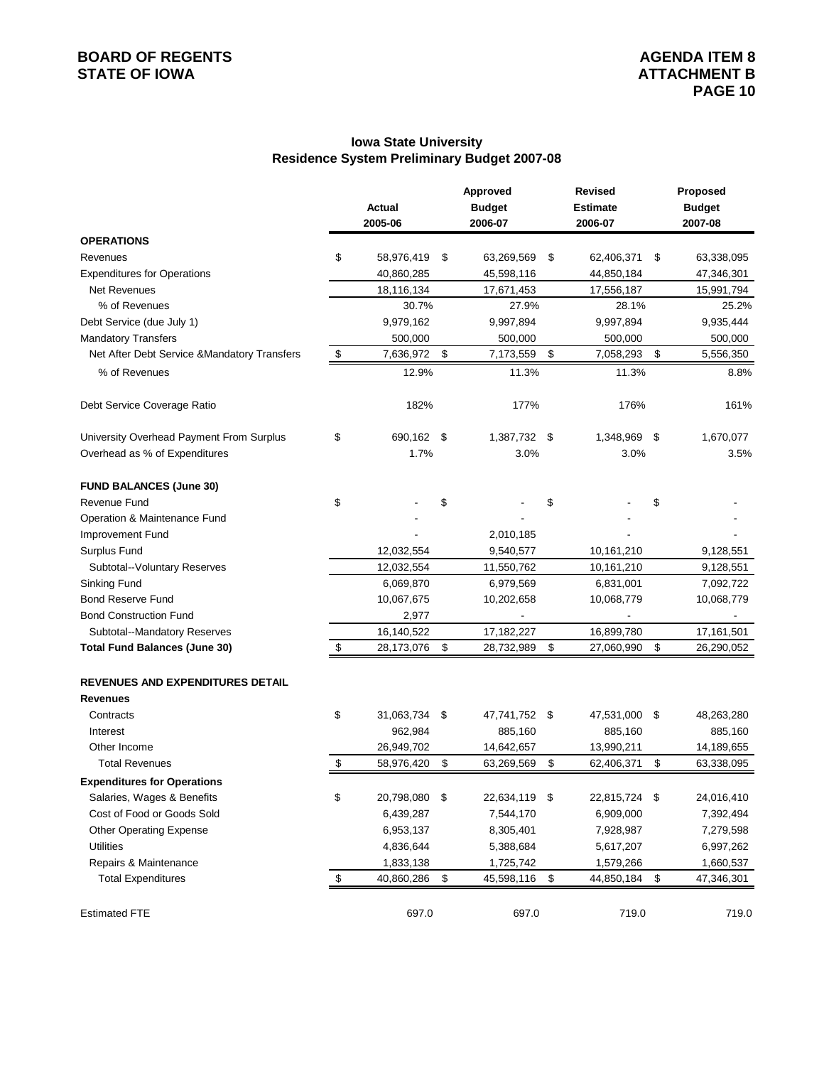#### **Iowa State University Residence System Preliminary Budget 2007-08**

|                                              |                     | Approved         | <b>Revised</b>   | Proposed         |
|----------------------------------------------|---------------------|------------------|------------------|------------------|
|                                              | <b>Actual</b>       | <b>Budget</b>    | <b>Estimate</b>  | <b>Budget</b>    |
|                                              | 2005-06             | 2006-07          | 2006-07          | 2007-08          |
| <b>OPERATIONS</b>                            |                     |                  |                  |                  |
| Revenues                                     | \$<br>58,976,419    | \$<br>63,269,569 | \$<br>62,406,371 | \$<br>63,338,095 |
| <b>Expenditures for Operations</b>           | 40,860,285          | 45,598,116       | 44,850,184       | 47,346,301       |
| Net Revenues                                 | 18,116,134          | 17,671,453       | 17,556,187       | 15,991,794       |
| % of Revenues                                | 30.7%               | 27.9%            | 28.1%            | 25.2%            |
| Debt Service (due July 1)                    | 9,979,162           | 9,997,894        | 9,997,894        | 9,935,444        |
| <b>Mandatory Transfers</b>                   | 500,000             | 500,000          | 500,000          | 500,000          |
| Net After Debt Service & Mandatory Transfers | \$<br>7,636,972     | \$<br>7,173,559  | \$<br>7,058,293  | \$<br>5,556,350  |
| % of Revenues                                | 12.9%               | 11.3%            | 11.3%            | 8.8%             |
| Debt Service Coverage Ratio                  | 182%                | 177%             | 176%             | 161%             |
| University Overhead Payment From Surplus     | \$<br>690,162 \$    | 1,387,732 \$     | 1,348,969        | \$<br>1,670,077  |
| Overhead as % of Expenditures                | 1.7%                | 3.0%             | 3.0%             | 3.5%             |
| <b>FUND BALANCES (June 30)</b>               |                     |                  |                  |                  |
| <b>Revenue Fund</b>                          | \$                  | \$               | \$               | \$               |
| Operation & Maintenance Fund                 |                     |                  |                  |                  |
| <b>Improvement Fund</b>                      |                     | 2,010,185        |                  |                  |
| <b>Surplus Fund</b>                          | 12,032,554          | 9,540,577        | 10,161,210       | 9,128,551        |
| Subtotal--Voluntary Reserves                 | 12,032,554          | 11,550,762       | 10,161,210       | 9,128,551        |
| Sinking Fund                                 | 6,069,870           | 6,979,569        | 6,831,001        | 7,092,722        |
| <b>Bond Reserve Fund</b>                     | 10,067,675          | 10,202,658       | 10,068,779       | 10,068,779       |
| <b>Bond Construction Fund</b>                | 2,977               |                  |                  |                  |
| Subtotal--Mandatory Reserves                 | 16,140,522          | 17,182,227       | 16,899,780       | 17,161,501       |
| <b>Total Fund Balances (June 30)</b>         | \$<br>28,173,076    | \$<br>28,732,989 | \$<br>27,060,990 | \$<br>26,290,052 |
| REVENUES AND EXPENDITURES DETAIL             |                     |                  |                  |                  |
| <b>Revenues</b>                              |                     |                  |                  |                  |
| Contracts                                    | \$<br>31,063,734 \$ | 47,741,752 \$    | 47,531,000 \$    | 48,263,280       |
| Interest                                     | 962,984             | 885,160          | 885,160          | 885,160          |
| Other Income                                 | 26,949,702          | 14,642,657       | 13,990,211       | 14,189,655       |
| <b>Total Revenues</b>                        | \$<br>58,976,420    | \$<br>63,269,569 | \$<br>62,406,371 | \$<br>63,338,095 |
| <b>Expenditures for Operations</b>           |                     |                  |                  |                  |
| Salaries, Wages & Benefits                   | \$<br>20,798,080 \$ | 22,634,119 \$    | 22,815,724 \$    | 24,016,410       |
| Cost of Food or Goods Sold                   | 6,439,287           | 7,544,170        | 6,909,000        | 7,392,494        |
| <b>Other Operating Expense</b>               | 6,953,137           | 8,305,401        | 7,928,987        | 7,279,598        |
| <b>Utilities</b>                             | 4,836,644           | 5,388,684        | 5,617,207        | 6,997,262        |
| Repairs & Maintenance                        | 1,833,138           | 1,725,742        | 1,579,266        | 1,660,537        |
| <b>Total Expenditures</b>                    | \$<br>40,860,286    | \$<br>45,598,116 | \$<br>44,850,184 | \$<br>47,346,301 |
| <b>Estimated FTE</b>                         | 697.0               | 697.0            | 719.0            | 719.0            |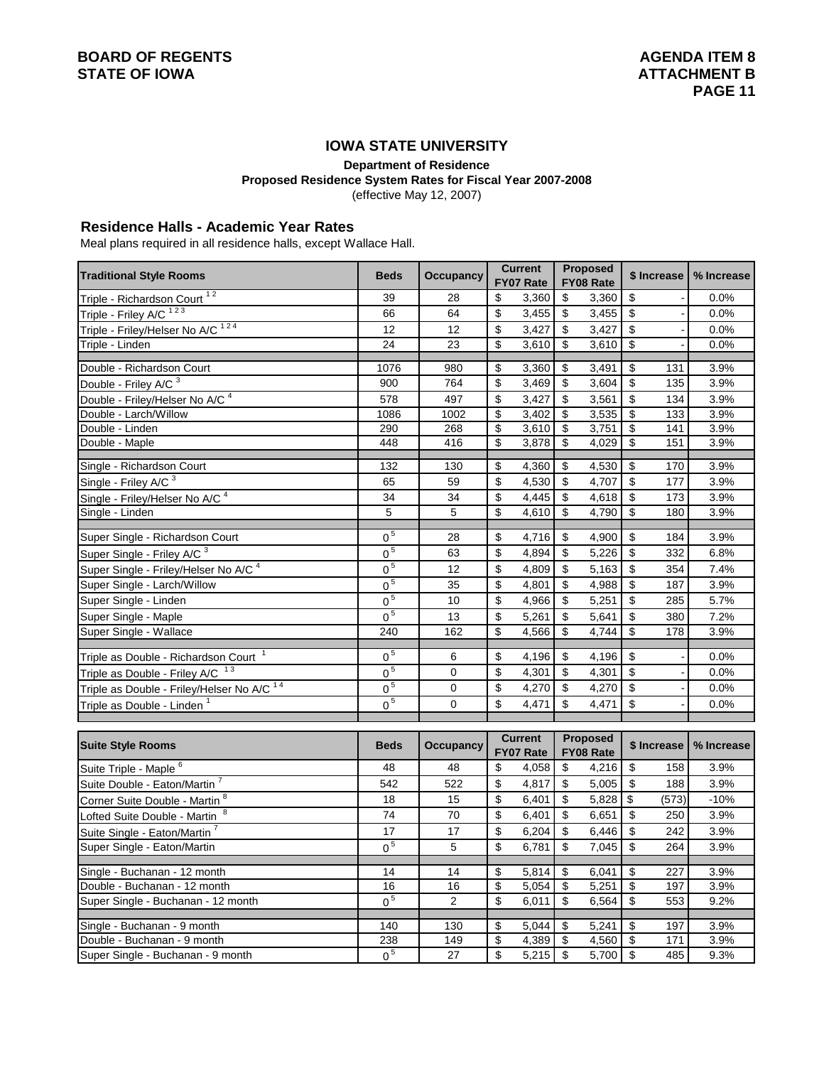## **IOWA STATE UNIVERSITY**

**Department of Residence**

**Proposed Residence System Rates for Fiscal Year 2007-2008**

(effective May 12, 2007)

#### **Residence Halls - Academic Year Rates**

Meal plans required in all residence halls, except Wallace Hall.

| <b>Traditional Style Rooms</b>                        | <b>Current</b><br><b>Beds</b><br><b>Occupancy</b> |                  |                                  |                             | <b>Proposed</b>           | \$ Increase                         |                           | % Increase     |            |
|-------------------------------------------------------|---------------------------------------------------|------------------|----------------------------------|-----------------------------|---------------------------|-------------------------------------|---------------------------|----------------|------------|
|                                                       |                                                   |                  |                                  | FY07 Rate                   |                           | FY08 Rate                           |                           |                |            |
| Triple - Richardson Court <sup>12</sup>               | 39                                                | 28               | \$                               | 3,360                       | \$                        | 3,360                               | \$                        |                | 0.0%       |
| Triple - Friley A/C <sup>123</sup>                    | 66                                                | 64               | \$                               | 3,455                       | $\sqrt[6]{\frac{1}{2}}$   | 3,455                               | \$                        | $\blacksquare$ | 0.0%       |
| Triple - Friley/Helser No A/C <sup>124</sup>          | 12                                                | 12               | \$                               | 3,427                       | $\sqrt[6]{\frac{1}{2}}$   | 3,427                               | \$                        |                | 0.0%       |
| Triple - Linden                                       | 24                                                | 23               | \$                               | 3,610                       | $\boldsymbol{\mathsf{S}}$ | 3,610                               | $\overline{\$}$           | l.             | 0.0%       |
| Double - Richardson Court                             | 1076                                              | 980              | \$                               | 3,360                       | \$                        | 3,491                               | \$                        | 131            | 3.9%       |
| Double - Friley A/C <sup>3</sup>                      | 900                                               | 764              | \$                               | 3,469                       | $\overline{\mathcal{S}}$  | 3,604                               | \$                        | 135            | 3.9%       |
| Double - Friley/Helser No A/C <sup>4</sup>            | 578                                               | 497              | \$                               | 3,427                       | $\boldsymbol{\mathsf{S}}$ | 3,561                               | $\boldsymbol{\mathsf{S}}$ | 134            | 3.9%       |
| Double - Larch/Willow                                 | 1086                                              | 1002             | \$                               | 3,402                       | \$                        | 3,535                               | \$                        | 133            | 3.9%       |
| Double - Linden                                       | 290                                               | 268              | \$                               | 3,610                       | $\overline{\mathbf{3}}$   | 3,751                               | $\overline{\mathbf{S}}$   | 141            | 3.9%       |
| Double - Maple                                        | 448                                               | 416              | \$                               | 3,878                       | \$                        | 4,029                               | \$                        | 151            | 3.9%       |
|                                                       |                                                   |                  |                                  |                             |                           |                                     |                           |                |            |
| Single - Richardson Court                             | 132                                               | 130              | \$                               | 4,360                       | -\$                       | 4,530                               | $\overline{\$}$           | 170            | 3.9%       |
| Single - Friley A/C 3                                 | 65                                                | 59               | \$                               | 4,530                       | $\boldsymbol{\mathsf{S}}$ | 4,707                               | \$                        | 177            | 3.9%       |
| Single - Friley/Helser No A/C <sup>4</sup>            | 34                                                | 34               | \$                               | 4,445                       | \$                        | 4,618                               | \$                        | 173            | 3.9%       |
| Single - Linden                                       | 5                                                 | 5                | \$                               | 4,610                       | \$                        | 4,790                               | \$                        | 180            | 3.9%       |
| Super Single - Richardson Court                       | 0 <sup>5</sup>                                    | 28               | \$                               | 4,716                       | \$                        | 4,900                               | \$                        | 184            | 3.9%       |
| Super Single - Friley A/C 3                           | 0 <sup>5</sup>                                    | 63               | \$                               | 4,894                       | \$                        | 5,226                               | $\boldsymbol{\mathsf{S}}$ | 332            | 6.8%       |
| Super Single - Friley/Helser No A/C <sup>4</sup>      | 0 <sup>5</sup>                                    | 12               | \$                               | 4,809                       | \$                        | 5,163                               | \$                        | 354            | 7.4%       |
| Super Single - Larch/Willow                           | 0 <sup>5</sup>                                    | 35               | \$                               | 4,801                       | $\sqrt[6]{\frac{1}{2}}$   | 4,988                               | \$                        | 187            | 3.9%       |
| Super Single - Linden                                 | 0 <sup>5</sup>                                    | 10               | \$                               | 4,966                       | \$                        | 5,251                               | \$                        | 285            | 5.7%       |
| Super Single - Maple                                  | 0 <sup>5</sup>                                    | 13               | \$                               | 5,261                       | \$                        | 5,641                               | \$                        | 380            | 7.2%       |
| Super Single - Wallace                                | 240                                               | 162              | \$                               | 4,566                       | \$                        | 4,744                               | \$                        | 178            | 3.9%       |
|                                                       |                                                   |                  |                                  |                             |                           |                                     |                           |                |            |
| Triple as Double - Richardson Court                   | 0 <sup>5</sup>                                    | 6                | \$                               | 4,196                       | \$                        | 4,196                               | \$                        |                | 0.0%       |
| Triple as Double - Friley A/C 13                      | 0 <sup>5</sup>                                    | $\overline{0}$   | \$                               | 4,301                       | \$                        | 4,301                               | \$                        | Ĭ.             | 0.0%       |
| Triple as Double - Friley/Helser No A/C <sup>14</sup> | 0 <sup>5</sup>                                    | 0                | \$                               | 4,270                       | $\overline{\mathcal{S}}$  | 4,270                               | \$                        |                | 0.0%       |
| Triple as Double - Linden                             | 0 <sup>5</sup>                                    | 0                | \$                               | 4,471                       | \$                        | 4,471                               | \$                        |                | 0.0%       |
|                                                       |                                                   |                  |                                  |                             |                           |                                     |                           |                |            |
| <b>Suite Style Rooms</b>                              | <b>Beds</b>                                       | <b>Occupancy</b> |                                  | <b>Current</b><br>FY07 Rate |                           | <b>Proposed</b><br><b>FY08 Rate</b> |                           | \$ Increase    | % Increase |
| Suite Triple - Maple 6                                | 48                                                | 48               | \$                               | 4,058                       | \$                        | 4,216                               | \$                        | 158            | 3.9%       |
| Suite Double - Eaton/Martin                           | 542                                               | 522              | \$                               | 4,817                       | \$                        | 5,005                               | \$                        | 188            | 3.9%       |
| Corner Suite Double - Martin 8                        | 18                                                | 15               | \$                               | 6,401                       | \$                        | 5,828                               | \$                        | (573)          | $-10%$     |
| Lofted Suite Double - Martin <sup>8</sup>             | 74                                                | 70               | \$                               | 6,401                       | \$                        | 6,651                               | $\overline{\mathcal{S}}$  | 250            | 3.9%       |
| Suite Single - Eaton/Martin <sup>7</sup>              | 17                                                | 17               | \$                               | 6,204                       | \$                        | 6,446                               | \$                        | 242            | 3.9%       |
| Super Single - Eaton/Martin                           | 0 <sup>5</sup>                                    | 5                | \$                               | 6,781                       | \$                        | 7,045                               | \$                        | 264            | 3.9%       |
| Single - Buchanan - 12 month                          | 14                                                | 14               | $\overline{\boldsymbol{\theta}}$ | 5,814                       | $\overline{\$}$           | 6,041                               | $\overline{\mathbf{e}}$   | 227            | 3.9%       |
| Double - Buchanan - 12 month                          | 16                                                | 16               | \$                               | 5,054                       | \$                        | 5,251                               | \$                        | 197            | 3.9%       |
| Super Single - Buchanan - 12 month                    | 0 <sup>5</sup>                                    | $\overline{2}$   | \$                               | 6,011                       | \$                        | 6,564                               | \$                        | 553            | 9.2%       |
|                                                       |                                                   |                  |                                  |                             |                           |                                     |                           |                |            |
| Single - Buchanan - 9 month                           | 140                                               | 130              | \$                               | 5,044                       | $\overline{\mathcal{L}}$  | 5,241                               | \$                        | 197            | 3.9%       |
| Double - Buchanan - 9 month                           | 238                                               | 149              | \$                               | 4,389                       | \$                        | 4,560                               | \$                        | 171            | 3.9%       |
| Super Single - Buchanan - 9 month                     | 0 <sup>5</sup>                                    | 27               | \$                               | 5,215                       | $\overline{\mathcal{S}}$  | 5,700                               | $\boldsymbol{\mathsf{S}}$ | 485            | 9.3%       |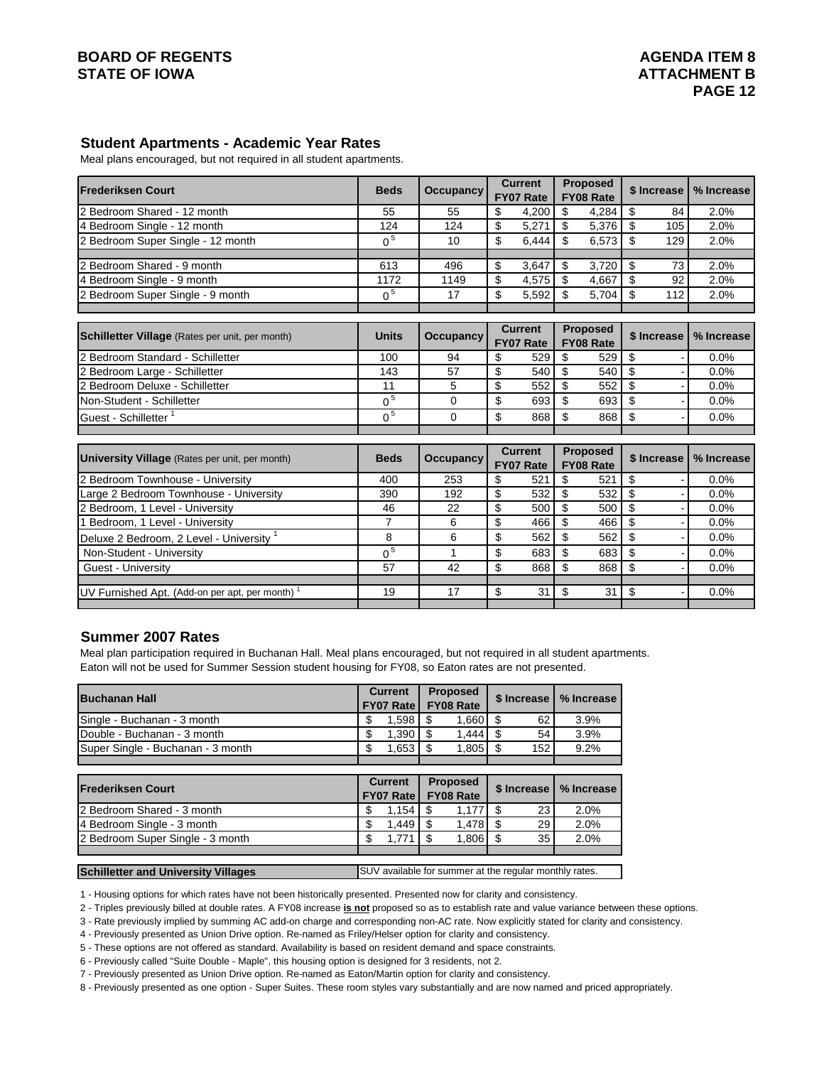#### **Student Apartments - Academic Year Rates**

Meal plans encouraged, but not required in all student apartments.

| <b>Frederiksen Court</b>                                   | <b>Beds</b>    | <b>Occupancy</b> | <b>Current</b><br><b>FY07 Rate</b> | <b>Proposed</b><br><b>FY08 Rate</b> | \$ Increase     | % Increase |
|------------------------------------------------------------|----------------|------------------|------------------------------------|-------------------------------------|-----------------|------------|
| 2 Bedroom Shared - 12 month                                | 55             | 55               | \$<br>4,200                        | \$<br>4,284                         | \$<br>84        | 2.0%       |
| 4 Bedroom Single - 12 month                                | 124            | 124              | \$<br>5,271                        | $\mathfrak s$<br>5,376              | \$<br>105       | 2.0%       |
| 2 Bedroom Super Single - 12 month                          | 0 <sup>5</sup> | 10               | \$<br>6,444                        | \$<br>6,573                         | \$<br>129       | 2.0%       |
| 2 Bedroom Shared - 9 month                                 | 613            | 496              | \$<br>3.647                        | \$<br>3,720                         | \$<br>73        | 2.0%       |
| 4 Bedroom Single - 9 month                                 | 1172           | 1149             | \$<br>4,575                        | \$<br>4,667                         | \$<br>92        | 2.0%       |
| 2 Bedroom Super Single - 9 month                           | 0 <sup>5</sup> | 17               | \$<br>5,592                        | \$<br>5,704                         | \$<br>112       | 2.0%       |
|                                                            |                |                  |                                    |                                     |                 |            |
| Schilletter Village (Rates per unit, per month)            | <b>Units</b>   | <b>Occupancy</b> | <b>Current</b><br><b>FY07 Rate</b> | <b>Proposed</b><br>FY08 Rate        | \$ Increase     | % Increase |
| 2 Bedroom Standard - Schilletter                           | 100            | 94               | \$<br>529                          | \$<br>529                           | \$              | 0.0%       |
| 2 Bedroom Large - Schilletter                              | 143            | 57               | \$<br>540                          | \$<br>540                           | $\overline{\$}$ | 0.0%       |
| 2 Bedroom Deluxe - Schilletter                             | 11             | 5                | \$<br>552                          | \$<br>552                           | \$              | 0.0%       |
| Non-Student - Schilletter                                  | 0 <sup>5</sup> | $\Omega$         | \$<br>693                          | \$.<br>693                          | \$              | 0.0%       |
| Guest - Schilletter <sup>1</sup>                           | 0 <sup>5</sup> | $\Omega$         | \$<br>868                          | \$<br>868                           | \$              | 0.0%       |
|                                                            |                |                  |                                    |                                     |                 |            |
| University Village (Rates per unit, per month)             | <b>Beds</b>    | <b>Occupancy</b> | <b>Current</b><br><b>FY07 Rate</b> | <b>Proposed</b><br><b>FY08 Rate</b> | \$ Increase     | % Increase |
| 2 Bedroom Townhouse - University                           | 400            | 253              | \$<br>521                          | \$<br>521                           | \$              | 0.0%       |
| arge 2 Bedroom Townhouse - University                      | 390            | 192              | \$<br>532                          | \$<br>532                           | \$              | 0.0%       |
| 2 Bedroom, 1 Level - University                            | 46             | 22               | \$<br>500                          | \$<br>500                           | $\overline{\$}$ | 0.0%       |
| Bedroom, 1 Level - University                              | $\overline{7}$ | 6                | \$<br>466                          | \$<br>466                           | $\overline{\$}$ | 0.0%       |
| Deluxe 2 Bedroom, 2 Level - University <sup>1</sup>        | 8              | 6                | \$<br>562                          | \$<br>562                           | \$              | 0.0%       |
| Non-Student - University                                   | 0 <sup>5</sup> | 1                | \$<br>683                          | \$<br>683                           | \$              | 0.0%       |
| Guest - University                                         | 57             | 42               | \$<br>868                          | \$<br>868                           | \$              | 0.0%       |
| UV Furnished Apt. (Add-on per apt, per month) <sup>1</sup> | 19             | 17               | \$<br>31                           | \$<br>31                            | \$              | 0.0%       |

#### **Summer 2007 Rates**

Meal plan participation required in Buchanan Hall. Meal plans encouraged, but not required in all student apartments. Eaton will not be used for Summer Session student housing for FY08, so Eaton rates are not presented.

| <b>Buchanan Hall</b>                       |    | <b>Current</b><br><b>FY07 Rate</b> |    | <b>Proposed</b><br><b>FY08 Rate</b>                    |      | \$ Increase | % Increase |
|--------------------------------------------|----|------------------------------------|----|--------------------------------------------------------|------|-------------|------------|
| Single - Buchanan - 3 month                | S  | 1,598                              | S  | 1,660                                                  | -\$  | 62          | 3.9%       |
| Double - Buchanan - 3 month                | S  | 1,390                              | \$ | 1.444                                                  | -\$  | 54          | 3.9%       |
| Super Single - Buchanan - 3 month          | \$ | 1,653                              | \$ | 1,805                                                  | - \$ | 152         | 9.2%       |
|                                            |    |                                    |    |                                                        |      |             |            |
| <b>Frederiksen Court</b>                   |    | <b>Current</b><br><b>FY07 Rate</b> |    | <b>Proposed</b><br><b>FY08 Rate</b>                    |      | \$ Increase | % Increase |
| 2 Bedroom Shared - 3 month                 | S  | 1.154                              | \$ | 1,177                                                  | \$   | 23          | 2.0%       |
| 4 Bedroom Single - 3 month                 | \$ | 1.449                              | \$ | 1,478                                                  | \$   | 29          | 2.0%       |
| 2 Bedroom Super Single - 3 month           | \$ | 1.771                              | \$ | 1,806                                                  | - \$ | 35          | 2.0%       |
|                                            |    |                                    |    |                                                        |      |             |            |
| <b>Schilletter and University Villages</b> |    |                                    |    | SUV available for summer at the regular monthly rates. |      |             |            |

1 - Housing options for which rates have not been historically presented. Presented now for clarity and consistency.

2 - Triples previously billed at double rates. A FY08 increase **is not** proposed so as to establish rate and value variance between these options.

3 - Rate previously implied by summing AC add-on charge and corresponding non-AC rate. Now explicitly stated for clarity and consistency.

4 - Previously presented as Union Drive option. Re-named as Friley/Helser option for clarity and consistency.

5 - These options are not offered as standard. Availability is based on resident demand and space constraints.

6 - Previously called "Suite Double - Maple", this housing option is designed for 3 residents, not 2.

7 - Previously presented as Union Drive option. Re-named as Eaton/Martin option for clarity and consistency.

8 - Previously presented as one option - Super Suites. These room styles vary substantially and are now named and priced appropriately.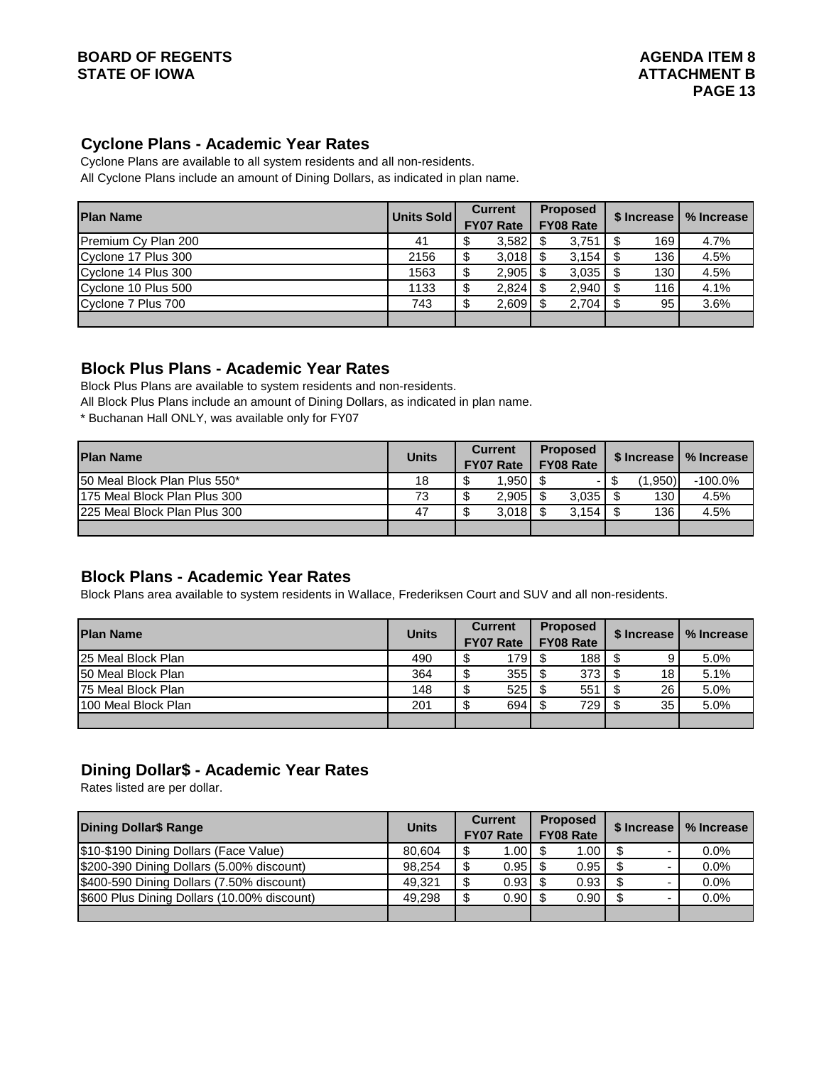## **BOARD OF REGENTS AGENTS** AGENDA ITEM 8 **STATE OF IOWA** AND **BUCK ATTACHMENT B**

## **Cyclone Plans - Academic Year Rates**

Cyclone Plans are available to all system residents and all non-residents. All Cyclone Plans include an amount of Dining Dollars, as indicated in plan name.

| <b>Plan Name</b>    | Units Sold | <b>Current</b><br><b>FY07 Rate</b> |       | <b>Proposed</b><br><b>FY08 Rate</b> |  | \$ Increase | % Increase |
|---------------------|------------|------------------------------------|-------|-------------------------------------|--|-------------|------------|
| Premium Cy Plan 200 | 41         |                                    | 3,582 | 3,751                               |  | 169         | 4.7%       |
| Cyclone 17 Plus 300 | 2156       |                                    | 3,018 | 3,154                               |  | 136         | 4.5%       |
| Cyclone 14 Plus 300 | 1563       | ۰D                                 | 2,905 | 3,035                               |  | 130         | 4.5%       |
| Cyclone 10 Plus 500 | 1133       | Ψ                                  | 2,824 | 2,940                               |  | 116         | 4.1%       |
| Cyclone 7 Plus 700  | 743        |                                    | 2,609 | 2,704                               |  | 95          | 3.6%       |
|                     |            |                                    |       |                                     |  |             |            |

## **Block Plus Plans - Academic Year Rates**

Block Plus Plans are available to system residents and non-residents.

All Block Plus Plans include an amount of Dining Dollars, as indicated in plan name.

\* Buchanan Hall ONLY, was available only for FY07

| <b>Plan Name</b>              | <b>Units</b> | <b>Current</b><br><b>FY07 Rate</b> | <b>Proposed</b><br><b>FY08 Rate</b> |       |     | \$ Increase | % Increase |
|-------------------------------|--------------|------------------------------------|-------------------------------------|-------|-----|-------------|------------|
| 150 Meal Block Plan Plus 550* | 18           | 1.950                              |                                     |       |     | (1.950)     | $-100.0%$  |
| 175 Meal Block Plan Plus 300  | 73           | 2,905                              |                                     | 3,035 |     | 130         | 4.5%       |
| 225 Meal Block Plan Plus 300  | 47           | 3.018                              |                                     | 3.154 | \$. | 136         | 4.5%       |
|                               |              |                                    |                                     |       |     |             |            |

## **Block Plans - Academic Year Rates**

Block Plans area available to system residents in Wallace, Frederiksen Court and SUV and all non-residents.

| <b>Plan Name</b>    | <b>Units</b> | <b>Current</b><br>FY07 Rate |                  | <b>Proposed</b><br><b>FY08 Rate</b> | \$ Increase | % Increase |
|---------------------|--------------|-----------------------------|------------------|-------------------------------------|-------------|------------|
| 125 Meal Block Plan | 490          |                             | $179$ $\sqrt{5}$ | 188 <sup>1</sup>                    |             | 5.0%       |
| 150 Meal Block Plan | 364          |                             | 355              | 373                                 | 18          | 5.1%       |
| 75 Meal Block Plan  | 148          |                             | 525              | 551                                 | 26          | 5.0%       |
| 100 Meal Block Plan | 201          |                             | 694              | 729                                 | 35          | 5.0%       |
|                     |              |                             |                  |                                     |             |            |

## **Dining Dollar\$ - Academic Year Rates**

Rates listed are per dollar.

| <b>Dining Dollar\$ Range</b>                | <b>Units</b> | <b>Current</b><br><b>FY07 Rate</b> |                   |      |  | <b>Proposed</b><br><b>FY08 Rate</b> | \$ Increase | % Increase |
|---------------------------------------------|--------------|------------------------------------|-------------------|------|--|-------------------------------------|-------------|------------|
| \$10-\$190 Dining Dollars (Face Value)      | 80.604       |                                    | 1.00 <sub>l</sub> | 1.00 |  | 0.0%                                |             |            |
| \$200-390 Dining Dollars (5.00% discount)   | 98.254       |                                    | 0.95              | 0.95 |  | $0.0\%$                             |             |            |
| \$400-590 Dining Dollars (7.50% discount)   | 49.321       |                                    | 0.93              | 0.93 |  | 0.0%                                |             |            |
| \$600 Plus Dining Dollars (10.00% discount) | 49.298       |                                    | 0.90              | 0.90 |  | 0.0%                                |             |            |
|                                             |              |                                    |                   |      |  |                                     |             |            |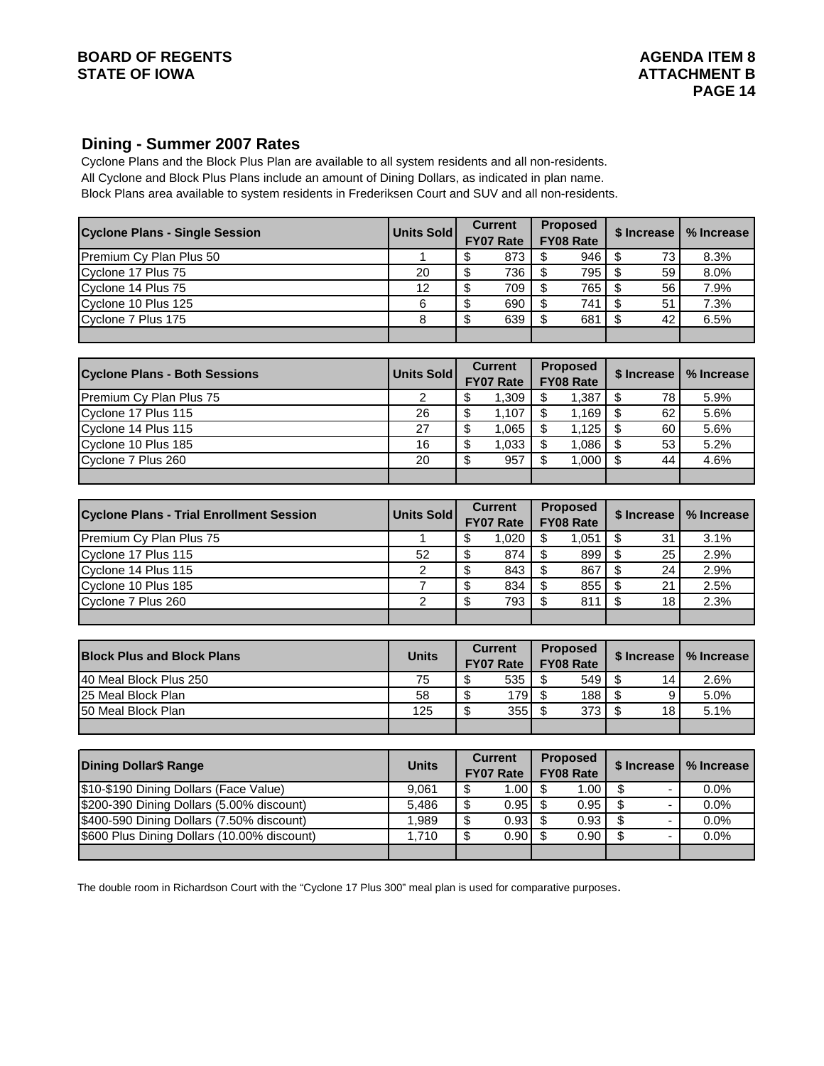### **BOARD OF REGENTS** AGENDA ITEM 8 STATE OF IOWA **ATTACHMENT B**

## **Dining - Summer 2007 Rates**

Block Plans area available to system residents in Frederiksen Court and SUV and all non-residents. Cyclone Plans and the Block Plus Plan are available to all system residents and all non-residents. All Cyclone and Block Plus Plans include an amount of Dining Dollars, as indicated in plan name.

| <b>Cyclone Plans - Single Session</b>           | Units Sold      |                          | <b>Current</b><br>FY07 Rate        |                          | <b>Proposed</b><br>FY08 Rate        | \$ Increase                                 | % Increase |
|-------------------------------------------------|-----------------|--------------------------|------------------------------------|--------------------------|-------------------------------------|---------------------------------------------|------------|
| Premium Cy Plan Plus 50                         | 1               | \$                       | 873                                | \$                       | 946                                 | \$<br>73                                    | 8.3%       |
| Cyclone 17 Plus 75                              | 20              | \$                       | 736                                | \$                       | 795                                 | \$<br>59                                    | 8.0%       |
| Cyclone 14 Plus 75                              | 12              | $\overline{\$}$          | 709                                | $\overline{\mathcal{S}}$ | 765                                 | $\overline{\mathcal{S}}$<br>56              | 7.9%       |
| Cyclone 10 Plus 125                             | 6               | \$                       | 690                                | \$                       | 741                                 | \$<br>51                                    | 7.3%       |
| Cyclone 7 Plus 175                              | 8               | \$                       | 639                                | \$                       | 681                                 | $\overline{\mathcal{S}}$<br>42              | 6.5%       |
|                                                 |                 |                          |                                    |                          |                                     |                                             |            |
| <b>Cyclone Plans - Both Sessions</b>            | Units Sold      |                          | <b>Current</b><br>FY07 Rate        |                          | <b>Proposed</b><br>FY08 Rate        | \$ Increase                                 | % Increase |
| Premium Cy Plan Plus 75                         | 2               | \$                       | 1,309                              | \$                       | 1,387                               | \$<br>78                                    | 5.9%       |
| Cyclone 17 Plus 115                             | $\overline{26}$ | \$                       | 1,107                              | $\overline{\mathbf{S}}$  | 1,169                               | $\overline{\$}$<br>62                       | 5.6%       |
| Cyclone 14 Plus 115                             | 27              | $\overline{\$}$          | 1,065                              | $\overline{\mathbf{S}}$  | 1,125                               | \$<br>60                                    | 5.6%       |
| Cyclone 10 Plus 185                             | 16              | \$                       | 1,033                              | \$                       | 1,086                               | $\overline{\mathcal{S}}$<br>$\overline{53}$ | 5.2%       |
| Cyclone 7 Plus 260                              | $\overline{20}$ | $\overline{\$}$          | 957                                | \$                       | 1,000                               | $\overline{\$}$<br>$\overline{44}$          | 4.6%       |
|                                                 |                 |                          |                                    |                          |                                     |                                             |            |
| <b>Cyclone Plans - Trial Enrollment Session</b> | Units Sold      |                          | <b>Current</b><br>FY07 Rate        |                          | <b>Proposed</b><br>FY08 Rate        | \$ Increase                                 | % Increase |
| Premium Cy Plan Plus 75                         | 1               | \$                       | 1,020                              | \$                       | 1,051                               | \$<br>31                                    | 3.1%       |
| Cyclone 17 Plus 115                             | 52              | \$                       | 874                                | $\overline{\mathcal{S}}$ | 899                                 | \$<br>25                                    | 2.9%       |
| Cyclone 14 Plus 115                             | 2               | \$                       | 843                                | \$                       | 867                                 | \$<br>24                                    | 2.9%       |
| Cyclone 10 Plus 185                             | 7               | \$                       | 834                                | $\overline{\mathcal{S}}$ | 855                                 | $\overline{\mathbb{S}}$<br>21               | 2.5%       |
| Cyclone 7 Plus 260                              | $\overline{2}$  | \$                       | 793                                | \$                       | 811                                 | \$<br>18                                    | 2.3%       |
|                                                 |                 |                          |                                    |                          |                                     |                                             |            |
| <b>Block Plus and Block Plans</b>               | <b>Units</b>    |                          | <b>Current</b><br><b>FY07 Rate</b> |                          | <b>Proposed</b><br><b>FY08 Rate</b> | \$ Increase                                 | % Increase |
| 40 Meal Block Plus 250                          | 75              | \$                       | 535                                | $\overline{\mathcal{S}}$ | 549                                 | \$<br>14                                    | 2.6%       |
| 25 Meal Block Plan                              | $\overline{58}$ | $\overline{\$}$          | 179                                | $\overline{\$}$          | 188                                 | $\overline{\mathcal{S}}$<br>9               | 5.0%       |
| 50 Meal Block Plan                              | 125             | $\overline{\$}$          | 355                                | $\overline{\mathcal{S}}$ | 373                                 | $\overline{\mathcal{S}}$<br>18              | 5.1%       |
|                                                 |                 |                          |                                    |                          |                                     |                                             |            |
| <b>Dining Dollar\$ Range</b>                    | <b>Units</b>    |                          | <b>Current</b><br>FY07 Rate        |                          | <b>Proposed</b><br>FY08 Rate        | \$ Increase                                 | % Increase |
| \$10-\$190 Dining Dollars (Face Value)          | 9,061           | \$                       | 1.00                               | $\overline{\mathbf{s}}$  | 1.00                                | $\overline{\$}$<br>$\overline{\phantom{a}}$ | 0.0%       |
| \$200-390 Dining Dollars (5.00% discount)       | 5,486           | $\overline{\mathcal{S}}$ | 0.95                               | $\overline{\mathcal{S}}$ | 0.95                                | $\overline{\mathcal{S}}$<br>$\frac{1}{2}$   | 0.0%       |
| \$400-590 Dining Dollars (7.50% discount)       | 1,989           | \$                       | 0.93                               | $\overline{\mathcal{S}}$ | 0.93                                | $\overline{\$}$<br>$\blacksquare$           | 0.0%       |
| \$600 Plus Dining Dollars (10.00% discount)     | 1,710           | \$                       | 0.90                               | $\overline{\mathbb{S}}$  | 0.90                                | $\overline{\mathcal{S}}$<br>$\blacksquare$  | 0.0%       |
|                                                 |                 |                          |                                    |                          |                                     |                                             |            |

The double room in Richardson Court with the "Cyclone 17 Plus 300" meal plan is used for comparative purposes.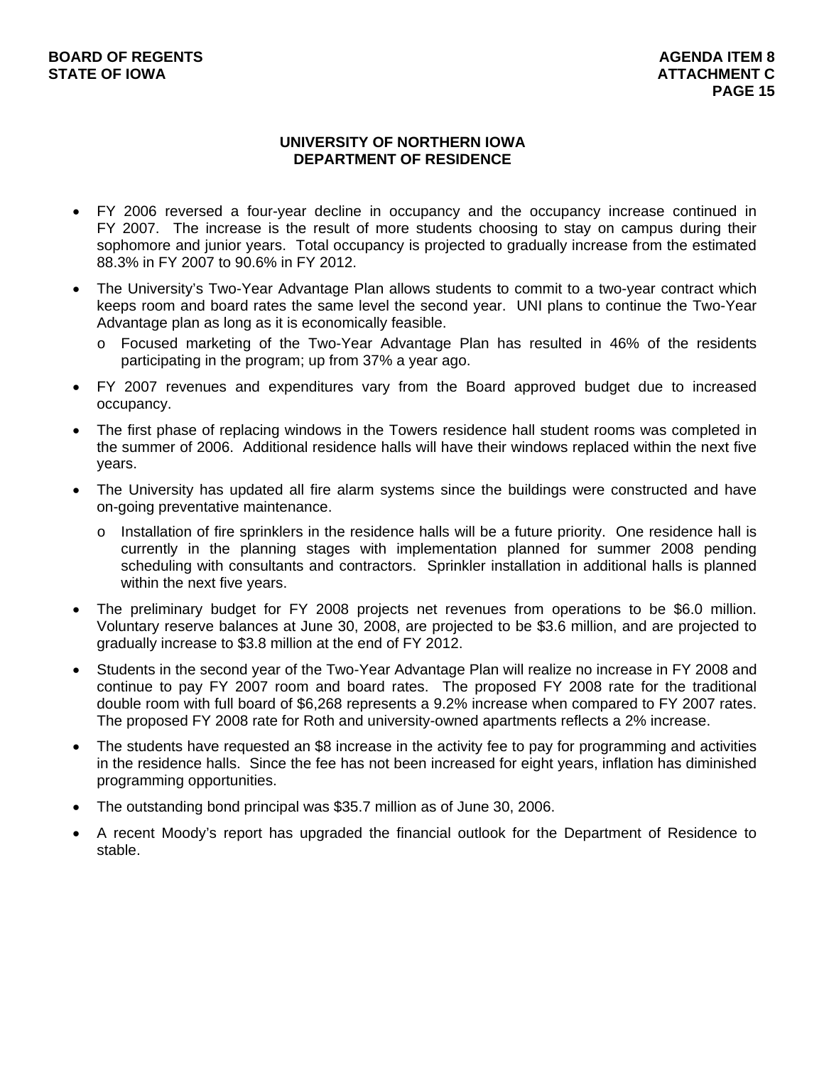#### **UNIVERSITY OF NORTHERN IOWA DEPARTMENT OF RESIDENCE**

- FY 2006 reversed a four-year decline in occupancy and the occupancy increase continued in FY 2007. The increase is the result of more students choosing to stay on campus during their sophomore and junior years. Total occupancy is projected to gradually increase from the estimated 88.3% in FY 2007 to 90.6% in FY 2012.
- The University's Two-Year Advantage Plan allows students to commit to a two-year contract which keeps room and board rates the same level the second year. UNI plans to continue the Two-Year Advantage plan as long as it is economically feasible.
	- o Focused marketing of the Two-Year Advantage Plan has resulted in 46% of the residents participating in the program; up from 37% a year ago.
- FY 2007 revenues and expenditures vary from the Board approved budget due to increased occupancy.
- The first phase of replacing windows in the Towers residence hall student rooms was completed in the summer of 2006. Additional residence halls will have their windows replaced within the next five years.
- The University has updated all fire alarm systems since the buildings were constructed and have on-going preventative maintenance.
	- $\circ$  Installation of fire sprinklers in the residence halls will be a future priority. One residence hall is currently in the planning stages with implementation planned for summer 2008 pending scheduling with consultants and contractors. Sprinkler installation in additional halls is planned within the next five years.
- The preliminary budget for FY 2008 projects net revenues from operations to be \$6.0 million. Voluntary reserve balances at June 30, 2008, are projected to be \$3.6 million, and are projected to gradually increase to \$3.8 million at the end of FY 2012.
- Students in the second year of the Two-Year Advantage Plan will realize no increase in FY 2008 and continue to pay FY 2007 room and board rates. The proposed FY 2008 rate for the traditional double room with full board of \$6,268 represents a 9.2% increase when compared to FY 2007 rates. The proposed FY 2008 rate for Roth and university-owned apartments reflects a 2% increase.
- The students have requested an \$8 increase in the activity fee to pay for programming and activities in the residence halls. Since the fee has not been increased for eight years, inflation has diminished programming opportunities.
- The outstanding bond principal was \$35.7 million as of June 30, 2006.
- A recent Moody's report has upgraded the financial outlook for the Department of Residence to stable.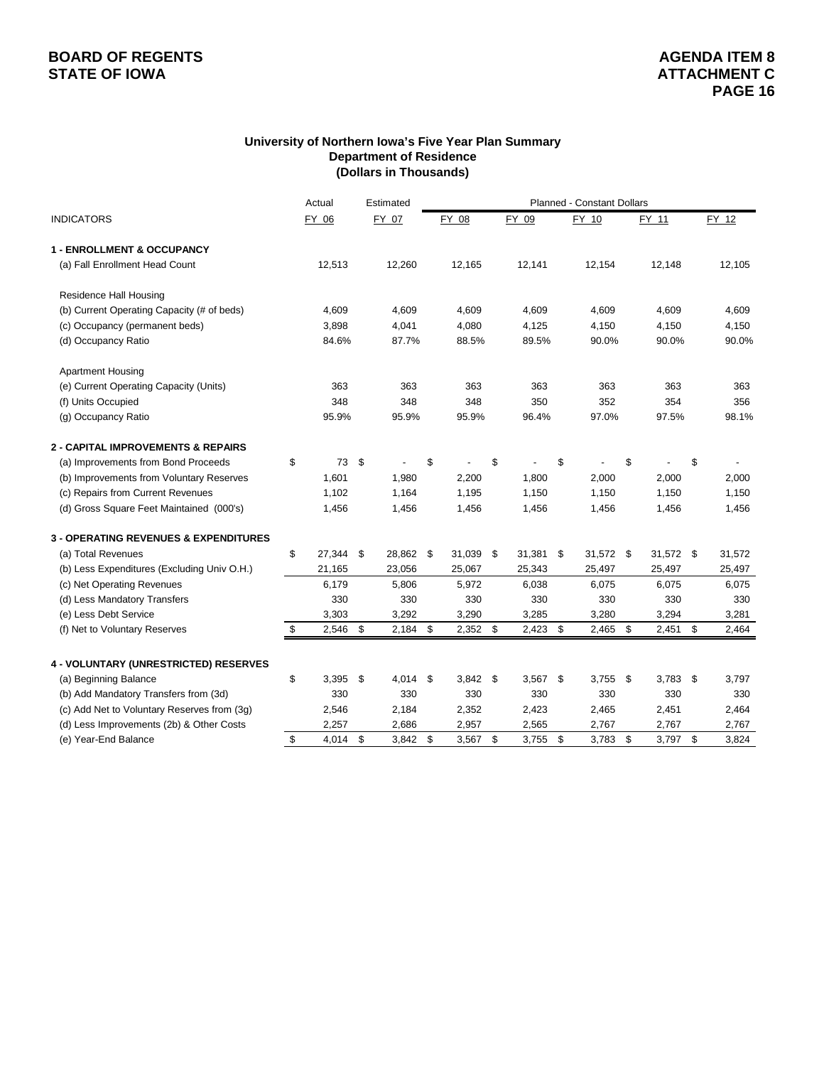#### **University of Northern Iowa's Five Year Plan Summary Department of Residence (Dollars in Thousands)**

|                                                  | Actual           | Estimated        |     |        |     |            | <b>Planned - Constant Dollars</b> |    |           |             |
|--------------------------------------------------|------------------|------------------|-----|--------|-----|------------|-----------------------------------|----|-----------|-------------|
| <b>INDICATORS</b>                                | FY 06            | FY 07            |     | FY 08  |     | FY 09      | FY 10                             |    | FY 11     | FY 12       |
| <b>1 - ENROLLMENT &amp; OCCUPANCY</b>            |                  |                  |     |        |     |            |                                   |    |           |             |
| (a) Fall Enrollment Head Count                   | 12,513           | 12,260           |     | 12,165 |     | 12,141     | 12,154                            |    | 12,148    | 12,105      |
| Residence Hall Housing                           |                  |                  |     |        |     |            |                                   |    |           |             |
| (b) Current Operating Capacity (# of beds)       | 4,609            | 4,609            |     | 4,609  |     | 4,609      | 4,609                             |    | 4,609     | 4,609       |
| (c) Occupancy (permanent beds)                   | 3,898            | 4,041            |     | 4,080  |     | 4,125      | 4,150                             |    | 4,150     | 4,150       |
| (d) Occupancy Ratio                              | 84.6%            | 87.7%            |     | 88.5%  |     | 89.5%      | 90.0%                             |    | 90.0%     | 90.0%       |
| <b>Apartment Housing</b>                         |                  |                  |     |        |     |            |                                   |    |           |             |
| (e) Current Operating Capacity (Units)           | 363              | 363              |     | 363    |     | 363        | 363                               |    | 363       | 363         |
| (f) Units Occupied                               | 348              | 348              |     | 348    |     | 350        | 352                               |    | 354       | 356         |
| (g) Occupancy Ratio                              | 95.9%            | 95.9%            |     | 95.9%  |     | 96.4%      | 97.0%                             |    | 97.5%     | 98.1%       |
| 2 - CAPITAL IMPROVEMENTS & REPAIRS               |                  |                  |     |        |     |            |                                   |    |           |             |
| (a) Improvements from Bond Proceeds              | \$<br>73         | \$               | \$  |        | \$  |            | \$                                | \$ |           | \$          |
| (b) Improvements from Voluntary Reserves         | 1,601            | 1,980            |     | 2,200  |     | 1,800      | 2,000                             |    | 2,000     | 2,000       |
| (c) Repairs from Current Revenues                | 1,102            | 1,164            |     | 1,195  |     | 1,150      | 1,150                             |    | 1,150     | 1,150       |
| (d) Gross Square Feet Maintained (000's)         | 1,456            | 1,456            |     | 1,456  |     | 1,456      | 1,456                             |    | 1,456     | 1,456       |
| <b>3 - OPERATING REVENUES &amp; EXPENDITURES</b> |                  |                  |     |        |     |            |                                   |    |           |             |
| (a) Total Revenues                               | \$<br>27,344     | \$<br>28,862     | -\$ | 31,039 | \$  | 31,381     | \$<br>31,572 \$                   |    | 31,572 \$ | 31,572      |
| (b) Less Expenditures (Excluding Univ O.H.)      | 21,165           | 23,056           |     | 25,067 |     | 25,343     | 25,497                            |    | 25,497    | 25,497      |
| (c) Net Operating Revenues                       | 6,179            | 5,806            |     | 5,972  |     | 6,038      | 6,075                             |    | 6,075     | 6,075       |
| (d) Less Mandatory Transfers                     | 330              | 330              |     | 330    |     | 330        | 330                               |    | 330       | 330         |
| (e) Less Debt Service                            | 3,303            | 3,292            |     | 3,290  |     | 3,285      | 3,280                             |    | 3,294     | 3,281       |
| (f) Net to Voluntary Reserves                    | \$<br>2,546      | \$<br>2,184      | \$  | 2,352  | \$  | 2,423      | \$<br>2,465                       | \$ | 2,451     | \$<br>2,464 |
| 4 - VOLUNTARY (UNRESTRICTED) RESERVES            |                  |                  |     |        |     |            |                                   |    |           |             |
| (a) Beginning Balance                            | \$<br>3,395      | \$<br>$4,014$ \$ |     | 3,842  | -\$ | $3,567$ \$ | 3,755                             | \$ | 3,783     | \$<br>3,797 |
| (b) Add Mandatory Transfers from (3d)            | 330              | 330              |     | 330    |     | 330        | 330                               |    | 330       | 330         |
| (c) Add Net to Voluntary Reserves from (3g)      | 2,546            | 2,184            |     | 2,352  |     | 2,423      | 2,465                             |    | 2,451     | 2,464       |
| (d) Less Improvements (2b) & Other Costs         | 2,257            | 2,686            |     | 2,957  |     | 2,565      | 2,767                             |    | 2,767     | 2,767       |
| (e) Year-End Balance                             | \$<br>$4,014$ \$ | 3,842            | \$  | 3,567  | \$  | 3,755      | \$<br>3,783                       | \$ | 3,797     | \$<br>3,824 |
|                                                  |                  |                  |     |        |     |            |                                   |    |           |             |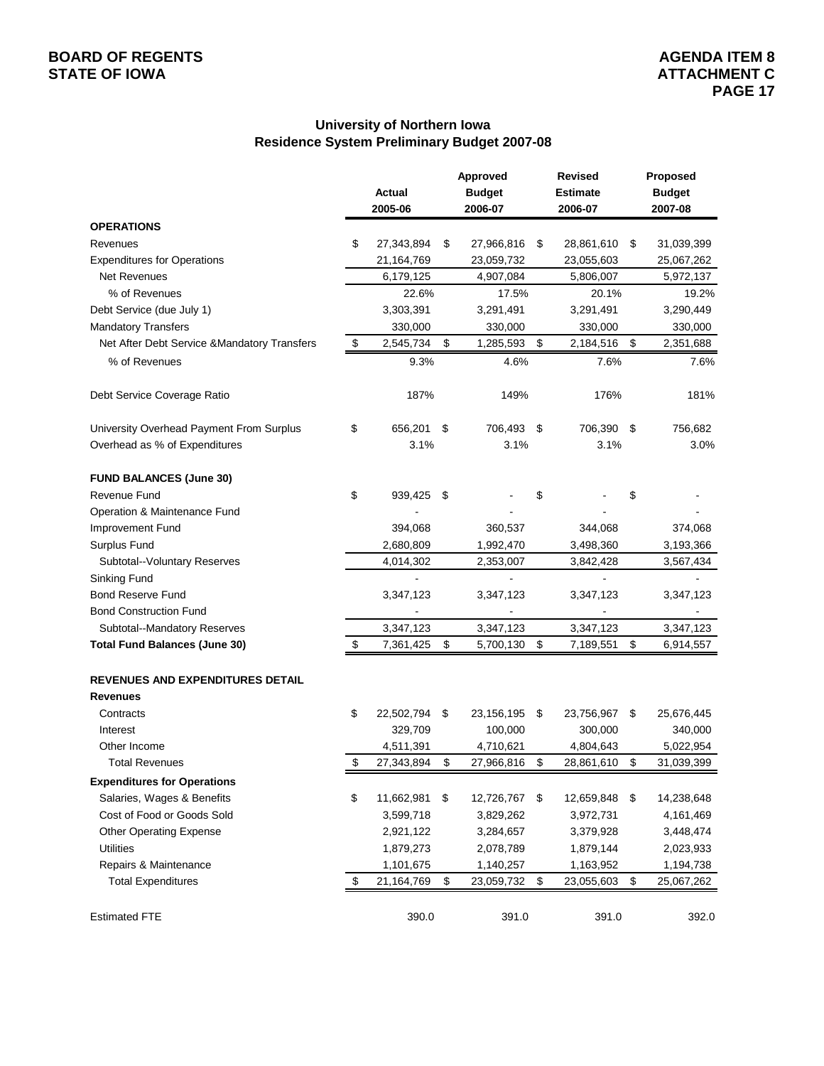#### **University of Northern Iowa Residence System Preliminary Budget 2007-08**

|                                                            | Actual<br>2005-06 | Approved<br><b>Budget</b><br>2006-07 | <b>Revised</b><br><b>Estimate</b><br>2006-07 | Proposed<br><b>Budget</b><br>2007-08 |
|------------------------------------------------------------|-------------------|--------------------------------------|----------------------------------------------|--------------------------------------|
| <b>OPERATIONS</b>                                          |                   |                                      |                                              |                                      |
| Revenues                                                   | \$<br>27,343,894  | \$<br>27,966,816                     | \$<br>28,861,610                             | \$<br>31,039,399                     |
| <b>Expenditures for Operations</b>                         | 21,164,769        | 23,059,732                           | 23,055,603                                   | 25,067,262                           |
| <b>Net Revenues</b>                                        | 6,179,125         | 4,907,084                            | 5,806,007                                    | 5,972,137                            |
| % of Revenues                                              | 22.6%             | 17.5%                                | 20.1%                                        | 19.2%                                |
| Debt Service (due July 1)                                  | 3,303,391         | 3,291,491                            | 3,291,491                                    | 3,290,449                            |
| <b>Mandatory Transfers</b>                                 | 330,000           | 330,000                              | 330,000                                      | 330,000                              |
| Net After Debt Service & Mandatory Transfers               | \$<br>2,545,734   | \$<br>1,285,593                      | \$<br>2,184,516                              | \$<br>2,351,688                      |
| % of Revenues                                              | 9.3%              | 4.6%                                 | 7.6%                                         | 7.6%                                 |
| Debt Service Coverage Ratio                                | 187%              | 149%                                 | 176%                                         | 181%                                 |
| University Overhead Payment From Surplus                   | \$<br>656,201     | \$<br>706,493 \$                     | 706,390 \$                                   | 756,682                              |
| Overhead as % of Expenditures                              | 3.1%              | 3.1%                                 | 3.1%                                         | 3.0%                                 |
| <b>FUND BALANCES (June 30)</b>                             |                   |                                      |                                              |                                      |
| Revenue Fund                                               | \$<br>939,425     | \$                                   | \$                                           | \$                                   |
| Operation & Maintenance Fund                               |                   |                                      |                                              |                                      |
| Improvement Fund                                           | 394,068           | 360,537                              | 344,068                                      | 374,068                              |
| Surplus Fund                                               | 2,680,809         | 1,992,470                            | 3,498,360                                    | 3,193,366                            |
| Subtotal--Voluntary Reserves                               | 4,014,302         | 2,353,007                            | 3,842,428                                    | 3,567,434                            |
| Sinking Fund                                               | $\blacksquare$    | $\overline{a}$                       | $\blacksquare$                               |                                      |
| <b>Bond Reserve Fund</b>                                   | 3,347,123         | 3,347,123                            | 3,347,123                                    | 3,347,123                            |
| <b>Bond Construction Fund</b>                              |                   |                                      |                                              |                                      |
| Subtotal--Mandatory Reserves                               | 3,347,123         | 3,347,123                            | 3,347,123                                    | 3,347,123                            |
| <b>Total Fund Balances (June 30)</b>                       | \$<br>7,361,425   | \$<br>5,700,130                      | \$<br>7,189,551                              | \$<br>6,914,557                      |
| <b>REVENUES AND EXPENDITURES DETAIL</b><br><b>Revenues</b> |                   |                                      |                                              |                                      |
| Contracts                                                  | \$<br>22,502,794  | \$<br>23,156,195                     | \$<br>23,756,967                             | \$<br>25,676,445                     |
| Interest                                                   | 329,709           | 100,000                              | 300,000                                      | 340,000                              |
| Other Income                                               | 4,511,391         | 4,710,621                            | 4,804,643                                    | 5,022,954                            |
| <b>Total Revenues</b>                                      | \$<br>27,343,894  | \$<br>27,966,816                     | \$<br>28,861,610                             | \$<br>31,039,399                     |
| <b>Expenditures for Operations</b>                         |                   |                                      |                                              |                                      |
| Salaries, Wages & Benefits                                 | \$<br>11,662,981  | \$<br>12,726,767                     | \$<br>12,659,848                             | \$<br>14,238,648                     |
| Cost of Food or Goods Sold                                 | 3,599,718         | 3,829,262                            | 3,972,731                                    | 4,161,469                            |
| <b>Other Operating Expense</b>                             | 2,921,122         | 3,284,657                            | 3,379,928                                    | 3,448,474                            |
| <b>Utilities</b>                                           | 1,879,273         | 2,078,789                            | 1,879,144                                    | 2,023,933                            |
| Repairs & Maintenance                                      | 1,101,675         | 1,140,257                            | 1,163,952                                    | 1,194,738                            |
| <b>Total Expenditures</b>                                  | \$<br>21,164,769  | \$<br>23,059,732                     | \$<br>23,055,603                             | \$<br>25,067,262                     |
| <b>Estimated FTE</b>                                       | 390.0             | 391.0                                | 391.0                                        | 392.0                                |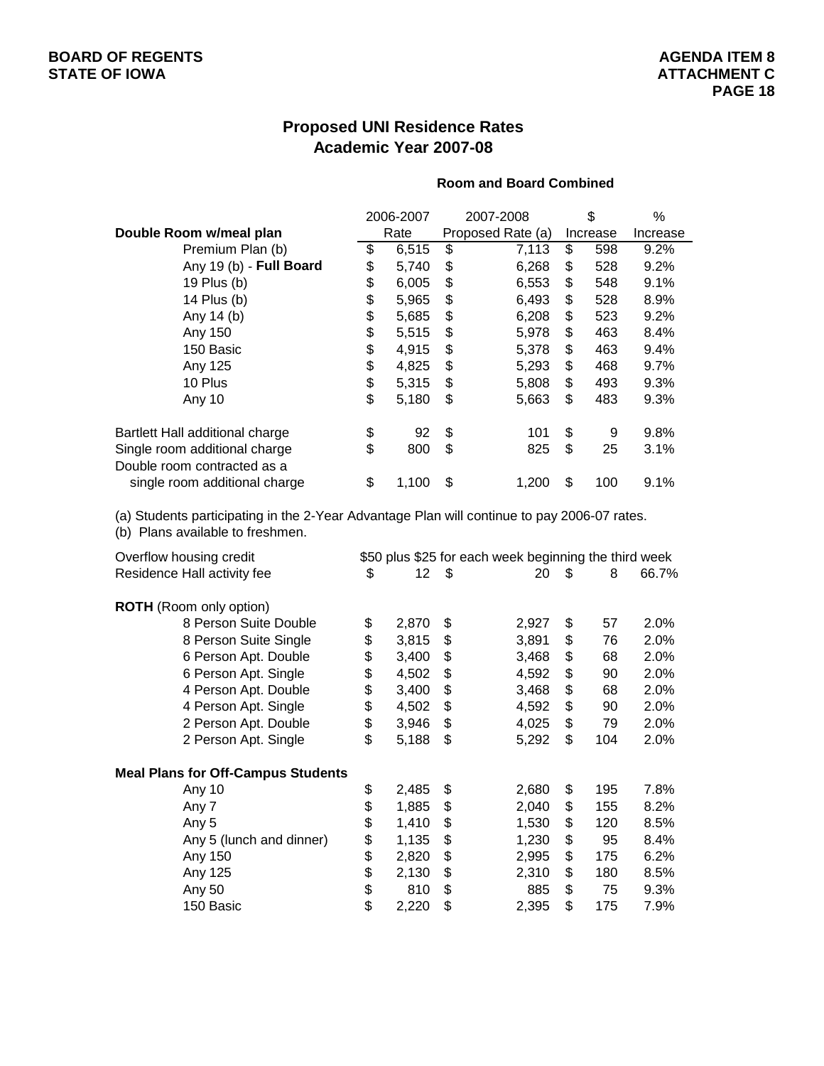# **Proposed UNI Residence Rates Academic Year 2007-08**

#### **Room and Board Combined**

|                                                                                                                                 |      | 2006-2007 |    | 2007-2008                                             |    | \$       | %        |
|---------------------------------------------------------------------------------------------------------------------------------|------|-----------|----|-------------------------------------------------------|----|----------|----------|
| Double Room w/meal plan                                                                                                         |      | Rate      |    | Proposed Rate (a)                                     |    | Increase | Increase |
| Premium Plan (b)                                                                                                                | \$   | 6,515     | \$ | 7,113                                                 | \$ | 598      | 9.2%     |
| Any 19 (b) - Full Board                                                                                                         | \$   | 5,740     | \$ | 6,268                                                 | \$ | 528      | 9.2%     |
| 19 Plus (b)                                                                                                                     | \$   | 6,005     | \$ | 6,553                                                 | \$ | 548      | 9.1%     |
| 14 Plus (b)                                                                                                                     | \$   | 5,965     | \$ | 6,493                                                 | \$ | 528      | 8.9%     |
| Any 14 (b)                                                                                                                      | \$   | 5,685     | \$ | 6,208                                                 | \$ | 523      | 9.2%     |
| Any 150                                                                                                                         | \$\$ | 5,515     | \$ | 5,978                                                 | \$ | 463      | 8.4%     |
| 150 Basic                                                                                                                       |      | 4,915     | \$ | 5,378                                                 | \$ | 463      | 9.4%     |
| Any 125                                                                                                                         |      | 4,825     | \$ | 5,293                                                 | \$ | 468      | 9.7%     |
| 10 Plus                                                                                                                         | \$   | 5,315     | \$ | 5,808                                                 | \$ | 493      | 9.3%     |
| Any 10                                                                                                                          | \$   | 5,180     | \$ | 5,663                                                 | \$ | 483      | 9.3%     |
| Bartlett Hall additional charge                                                                                                 | \$   | 92        | \$ | 101                                                   | \$ | 9        | 9.8%     |
| Single room additional charge<br>Double room contracted as a                                                                    | \$   | 800       | \$ | 825                                                   | \$ | 25       | 3.1%     |
|                                                                                                                                 | \$   | 1,100     | \$ |                                                       | \$ | 100      | 9.1%     |
| single room additional charge                                                                                                   |      |           |    | 1,200                                                 |    |          |          |
| (a) Students participating in the 2-Year Advantage Plan will continue to pay 2006-07 rates.<br>(b) Plans available to freshmen. |      |           |    |                                                       |    |          |          |
| Overflow housing credit                                                                                                         |      |           |    | \$50 plus \$25 for each week beginning the third week |    |          |          |
| Residence Hall activity fee                                                                                                     | \$   | 12        | \$ | 20                                                    | \$ | 8        | 66.7%    |
| <b>ROTH</b> (Room only option)                                                                                                  |      |           |    |                                                       |    |          |          |
| 8 Person Suite Double                                                                                                           | \$   | 2,870     | \$ | 2,927                                                 | \$ | 57       | 2.0%     |
| 8 Person Suite Single                                                                                                           | \$   | 3,815     | \$ | 3,891                                                 | \$ | 76       | 2.0%     |
| 6 Person Apt. Double                                                                                                            | \$   | 3,400     | \$ | 3,468                                                 | \$ | 68       | 2.0%     |
| 6 Person Apt. Single                                                                                                            | \$   | 4,502     | \$ | 4,592                                                 | \$ | 90       | 2.0%     |
| 4 Person Apt. Double                                                                                                            | \$   | 3,400     | \$ | 3,468                                                 | \$ | 68       | 2.0%     |
| 4 Person Apt. Single                                                                                                            | \$   | 4,502     | \$ | 4,592                                                 | \$ | 90       | 2.0%     |
| 2 Person Apt. Double                                                                                                            | \$   | 3,946     | \$ | 4,025                                                 | \$ | 79       | 2.0%     |
| 2 Person Apt. Single                                                                                                            | \$   | 5,188     | \$ | 5,292                                                 | \$ | 104      | 2.0%     |
| <b>Meal Plans for Off-Campus Students</b>                                                                                       |      |           |    |                                                       |    |          |          |
| Any 10                                                                                                                          | \$   | 2,485     | \$ | 2,680                                                 | \$ | 195      | 7.8%     |
| Any 7                                                                                                                           | ፍ    | 1.885     | ፍ  | 2 NAN                                                 | ፍ  | 155      | 8.2%     |

| ns for Off-Campus Students |             |     |       |           |      |
|----------------------------|-------------|-----|-------|-----------|------|
| Any 10                     | \$<br>2,485 | S   | 2.680 | \$<br>195 | 7.8% |
| Any 7                      | \$<br>1,885 | S   | 2,040 | \$<br>155 | 8.2% |
| Any 5                      | \$<br>1,410 | \$. | 1.530 | \$<br>120 | 8.5% |
| Any 5 (lunch and dinner)   | \$<br>1,135 | \$  | 1.230 | \$<br>95  | 8.4% |
| Any 150                    | \$<br>2,820 | S   | 2,995 | \$<br>175 | 6.2% |
| Any 125                    | \$<br>2.130 | \$. | 2.310 | \$<br>180 | 8.5% |
| Any 50                     | \$<br>810   | S   | 885   | \$<br>75  | 9.3% |
| 150 Basic                  | \$<br>2.220 | \$  | 2.395 | \$<br>175 | 7.9% |
|                            |             |     |       |           |      |